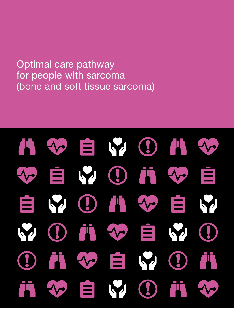Optimal care pathway for people with sarcoma (bone and soft tissue sarcoma)

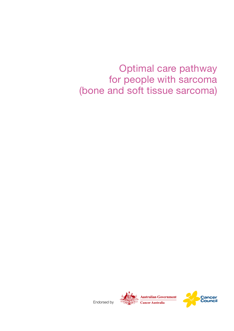Optimal care pathway for people with sarcoma (bone and soft tissue sarcoma)

Endorsed by



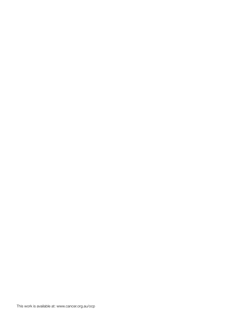This work is available at: www.cancer.org.au/ocp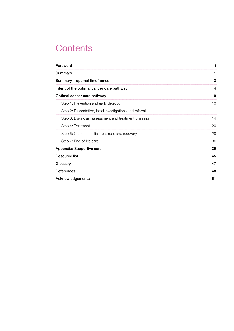# **Contents**

| Foreword                                                  |    |  |  |  |
|-----------------------------------------------------------|----|--|--|--|
| Summary                                                   | 1  |  |  |  |
| Summary - optimal timeframes                              |    |  |  |  |
| Intent of the optimal cancer care pathway                 | 4  |  |  |  |
| Optimal cancer care pathway                               | 9  |  |  |  |
| Step 1: Prevention and early detection                    | 10 |  |  |  |
| Step 2: Presentation, initial investigations and referral | 11 |  |  |  |
| Step 3: Diagnosis, assessment and treatment planning      | 14 |  |  |  |
| Step 4: Treatment                                         | 20 |  |  |  |
| Step 5: Care after initial treatment and recovery         | 28 |  |  |  |
| Step 7: End-of-life care                                  | 36 |  |  |  |
| Appendix: Supportive care                                 | 39 |  |  |  |
| Resource list                                             |    |  |  |  |
| Glossary                                                  | 47 |  |  |  |
| References                                                |    |  |  |  |
| <b>Acknowledgements</b>                                   |    |  |  |  |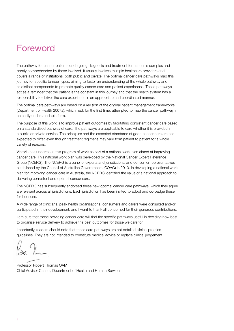# <span id="page-5-0"></span>Foreword

The pathway for cancer patients undergoing diagnosis and treatment for cancer is complex and poorly comprehended by those involved. It usually involves multiple healthcare providers and covers a range of institutions, both public and private. The optimal cancer care pathways map this journey for specific tumour types, aiming to foster an understanding of the whole pathway and its distinct components to promote quality cancer care and patient experiences. These pathways act as a reminder that the patient is the constant in this journey and that the health system has a responsibility to deliver the care experience in an appropriate and coordinated manner.

The optimal care pathways are based on a revision of the original patient management frameworks (Department of Health 2007a), which had, for the first time, attempted to map the cancer pathway in an easily understandable form.

The purpose of this work is to improve patient outcomes by facilitating consistent cancer care based on a standardised pathway of care. The pathways are applicable to care whether it is provided in a public or private service. The principles and the expected standards of good cancer care are not expected to differ, even though treatment regimens may vary from patient to patient for a whole variety of reasons.

Victoria has undertaken this program of work as part of a national work plan aimed at improving cancer care. This national work plan was developed by the National Cancer Expert Reference Group (NCERG). The NCERG is a panel of experts and jurisdictional and consumer representatives established by the Council of Australian Governments (COAG) in 2010. In developing a national work plan for improving cancer care in Australia, the NCERG identified the value of a national approach to delivering consistent and optimal cancer care.

The NCERG has subsequently endorsed these new optimal cancer care pathways, which they agree are relevant across all jurisdictions. Each jurisdiction has been invited to adopt and co-badge these for local use.

A wide range of clinicians, peak health organisations, consumers and carers were consulted and/or participated in their development, and I want to thank all concerned for their generous contributions.

I am sure that those providing cancer care will find the specific pathways useful in deciding how best to organise service delivery to achieve the best outcomes for those we care for.

Importantly, readers should note that these care pathways are not detailed clinical practice guidelines. They are not intended to constitute medical advice or replace clinical judgement.

Professor Robert Thomas OAM Chief Advisor Cancer, Department of Health and Human Services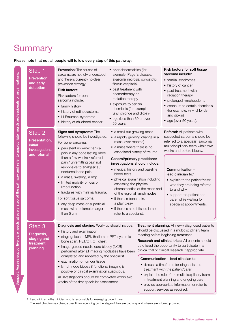# **Summary**

Support: Assess supportive care needs at every step of the pathway and refer to appropriate health professionals or organisations.

Support: Assess supportive care needs at every step of the pathway and refer to appropriate health professionals or organisations.

# Please note that not all people will follow every step of this pathway:

| Step 1<br><b>Prevention</b><br>and early<br>detection                | <b>Prevention:</b> The causes of<br>sarcoma are not fully understood,<br>and there is currently no clear<br>prevention strategy.<br><b>Risk factors:</b><br>Risk factors for bone<br>sarcoma include:<br>• family history<br>• history of retinoblastoma<br>• Li-Fraumeni syndrome<br>• history of childhood cancer                                                                                                                                                                                                                              | • prior abnormalities (for<br>example, Paget's disease,<br>avascular necrosis, polyostotic<br>fibrous dysplasia).<br>• past treatment with<br>chemotherapy or<br>radiation therapy<br>• exposure to certain<br>chemicals (for example,<br>vinyl chloride and dioxin)<br>• age (less than 30 or over<br>50 years).                                                                                                                             |                                                                  | <b>Risk factors for soft tissue</b><br>sarcoma include:<br>• familial syndromes<br>• history of cancer<br>• past treatment with<br>radiation therapy<br>• prolonged lymphoedema<br>• exposure to certain chemicals<br>(for example, vinyl chloride<br>and dioxin)<br>• age (over 50 years).                                                                                                                                                                                                                                                                                                                        |
|----------------------------------------------------------------------|--------------------------------------------------------------------------------------------------------------------------------------------------------------------------------------------------------------------------------------------------------------------------------------------------------------------------------------------------------------------------------------------------------------------------------------------------------------------------------------------------------------------------------------------------|-----------------------------------------------------------------------------------------------------------------------------------------------------------------------------------------------------------------------------------------------------------------------------------------------------------------------------------------------------------------------------------------------------------------------------------------------|------------------------------------------------------------------|--------------------------------------------------------------------------------------------------------------------------------------------------------------------------------------------------------------------------------------------------------------------------------------------------------------------------------------------------------------------------------------------------------------------------------------------------------------------------------------------------------------------------------------------------------------------------------------------------------------------|
| Step 2<br>Presentation,<br>initial<br>investigations<br>and referral | Signs and symptoms: The<br>following should be investigated.<br>For bone sarcoma:<br>• persistent non-mechanical<br>pain in any bone lasting more<br>than a few weeks / referred<br>pain / unremitting pain not<br>responsive to analgesics /<br>nocturnal bone pain<br>· a mass, swelling, a limp<br>• limited mobility or loss of<br>limb function<br>• fractures with minimal trauma.<br>For soft tissue sarcoma:<br>• any deep mass or superficial<br>mass with a diameter larger<br>than 5 cm                                               | • a small but growing mass<br>• a rapidly growing change in a<br>mass (over months)<br>• a mass where there is no<br>General/primary practitioner<br>investigations should include:<br>• medical history and baseline<br>blood tests<br>• physical examination including<br>assessing the physical<br>of the regional lymph nodes<br>• if there is bone pain,<br>a plain x-ray<br>• if there is a soft tissue lump,<br>refer to a specialist. | associated history of trauma.<br>characteristics of the mass and | Referral: All patients with<br>suspected sarcoma should be<br>referred to a specialist sarcoma<br>multidisciplinary team within two<br>weeks and before biopsy.<br>Communication -<br>lead clinician to:1<br>• explain to the patient/carer<br>who they are being referred<br>to and why<br>• support the patient and<br>carer while waiting for<br>specialist appointments.                                                                                                                                                                                                                                       |
| Step 3<br>Diagnosis,<br>staging and<br>treatment<br>planning         | Diagnosis and staging: Work-up should include:<br>• history and examination<br>• staging: local - MRI, thallium or PET; systemic -<br>bone scan, PET/CT, CT chest<br>· image-guided needle core biopsy (NCB)<br>performed after all imaging modalities have been<br>completed and reviewed by the specialist<br>• examination of tumour tissue<br>• lymph node biopsy if functional imaging is<br>positive or clinical examination suspicious.<br>All investigations should be completed within two<br>weeks of the first specialist assessment. |                                                                                                                                                                                                                                                                                                                                                                                                                                               |                                                                  | Treatment planning: All newly diagnosed patients<br>should be discussed in a multidisciplinary team<br>meeting before beginning treatment.<br><b>Research and clinical trials:</b> All patients should<br>be offered the opportunity to participate in a<br>clinical trial or clinical research if appropriate.<br>Communication - lead clinician to:<br>· discuss a timeframe for diagnosis and<br>treatment with the patient/carer<br>• explain the role of the multidisciplinary team<br>in treatment planning and ongoing care<br>provide appropriate information or refer to<br>support services as required. |

1 Lead clinician – the clinician who is responsible for managing patient care.

The lead clinician may change over time depending on the stage of the care pathway and where care is being provided.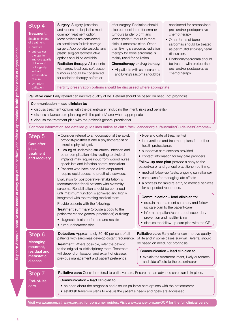# Step 4

# Treatment:

- Establish intent of treatment:
- curative
- anti-cancer therapy to improve quality of life and/ or longevity without expectation of cure
- symptom palliation.

**Surgery: Surgery (resection** and reconstruction) is the most common treatment option. Most patients are considered as candidates for limb salvage surgery. Appropriate vascular and plastic surgical reconstructive options should be available.

Radiation therapy: All patients with large, localised, soft tissue tumours should be considered for radiation therapy before or

after surgery. Radiation should also be considered for smaller tumours (under 5 cm) and lower grade tumours in more difficult anatomic sites. Other than Ewing's sarcoma, radiation therapy for bone sarcomas is mainly used for palliation.

#### Chemotherapy or drug therapy:

• All patients with osteosarcoma and Ewing's sarcoma should be considered for protocolised pre- and/or postoperative chemotherapy.

- Other forms of bone sarcomas should be treated as per multidisciplinary team discussion.
- Rhabdomyosarcoma should be treated with protocolised pre- and/or postoperative chemotherapy.

# Fertility preservation options should be discussed where appropriate.

# Palliative care: Early referral can improve quality of life. Referral should be based on need, not prognosis.

# Communication – lead clinician to:

- discuss treatment options with the patient/carer (including the intent, risks and benefits)
- discuss advance care planning with the patient/carer where appropriate
- discuss the treatment plan with the patient's general practitioner.

#### For more information see detailed guidelines online at <http://wiki.cancer.org.au/australia/Guidelines:Sarcoma>

| Step 5<br><b>Care after</b><br>initial<br>treatment<br>and recovery       | • Consider referral to an occupational therapist,<br>orthotist/prosthetist and a physiotherapist or<br>exercise physiologist.<br>• Healing of underlying structures, infection and<br>other complication risks relating to skeletal<br>implants may require input from wound nurse<br>specialists and infection control specialists.<br>• Patients who have had a limb amputated<br>require rapid access to prosthetic services.<br>Evaluation for postoperative rehabilitation is<br>recommended for all patients with extremity<br>sarcoma. Rehabilitation should be continued<br>until maximum function is achieved and highly<br>integrated with the treating medical team.<br>Provide patients with the following:<br>Treatment summary (provide a copy to the<br>patient/carer and general practitioner) outlining:<br>• diagnostic tests performed and results<br>• tumour characteristics | • type and date of treatment(s)<br>• interventions and treatment plans from other<br>health professionals<br>• supportive care services provided<br>• contact information for key care providers.<br>Follow-up care plan (provide a copy to the<br>patient/carer and general practitioner) outlining:<br>• medical follow-up (tests, ongoing surveillance)<br>• care plans for managing late effects<br>• a process for rapid re-entry to medical services<br>for suspected recurrence.<br>Communication - lead clinician to:<br>• explain the treatment summary and follow-<br>up care plan to the patient/carer<br>• inform the patient/carer about secondary<br>prevention and healthy living<br>· discuss the follow-up care plan with the GP. |  |  |
|---------------------------------------------------------------------------|---------------------------------------------------------------------------------------------------------------------------------------------------------------------------------------------------------------------------------------------------------------------------------------------------------------------------------------------------------------------------------------------------------------------------------------------------------------------------------------------------------------------------------------------------------------------------------------------------------------------------------------------------------------------------------------------------------------------------------------------------------------------------------------------------------------------------------------------------------------------------------------------------|----------------------------------------------------------------------------------------------------------------------------------------------------------------------------------------------------------------------------------------------------------------------------------------------------------------------------------------------------------------------------------------------------------------------------------------------------------------------------------------------------------------------------------------------------------------------------------------------------------------------------------------------------------------------------------------------------------------------------------------------------|--|--|
| Step 6<br>Managing<br>recurrent,<br>residual and<br>metastatic<br>disease | <b>Detection:</b> Approximately 30-40 per cent of all<br>patients with sarcomas develop distant recurrence.<br>Treatment: Where possible, refer the patient<br>to the original multidisciplinary team. Treatment<br>will depend on location and extent of disease,<br>previous management and patient preference.                                                                                                                                                                                                                                                                                                                                                                                                                                                                                                                                                                                 | <b>Palliative care:</b> Early referral can improve quality<br>of life and in some cases survival. Referral should<br>be based on need, not prognosis.<br>Communication - lead clinician to:<br>• explain the treatment intent, likely outcomes<br>and side effects to the patient/carer.                                                                                                                                                                                                                                                                                                                                                                                                                                                           |  |  |
| Step 7                                                                    | Palliative care: Consider referral to palliative care. Ensure that an advance care plan is in place.<br>Communication - lead clinician to:<br>• be open about the prognosis and discuss palliative care options with the patient/carer<br>• establish transition plans to ensure the patient's needs and goals are addressed.                                                                                                                                                                                                                                                                                                                                                                                                                                                                                                                                                                     |                                                                                                                                                                                                                                                                                                                                                                                                                                                                                                                                                                                                                                                                                                                                                    |  |  |
| End-of-life<br>care                                                       |                                                                                                                                                                                                                                                                                                                                                                                                                                                                                                                                                                                                                                                                                                                                                                                                                                                                                                   |                                                                                                                                                                                                                                                                                                                                                                                                                                                                                                                                                                                                                                                                                                                                                    |  |  |

Visit www.cancerpathways.org.au for consumer guides. Visit www.cancer.org.au/OCP for the full clinical version.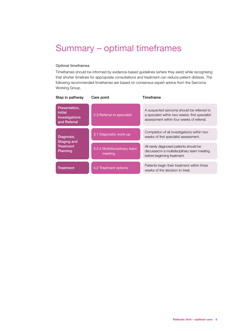# <span id="page-8-0"></span>Summary – optimal timeframes

# Optimal timeframes

Timeframes should be informed by evidence-based guidelines (where they exist) while recognising that shorter timelines for appropriate consultations and treatment can reduce patient distress. The following recommended timeframes are based on consensus expert advice from the Sarcoma Working Group.

| Step in pathway                                                   | Care point                              | Timeframe                                                                                                                                 |  |
|-------------------------------------------------------------------|-----------------------------------------|-------------------------------------------------------------------------------------------------------------------------------------------|--|
| Presentation,<br><b>Initial</b><br>Investigations<br>and Referral | 2.3 Referral to specialist              | A suspected sarcoma should be referred to<br>a specialist within two weeks; first specialist<br>assessment within four weeks of referral. |  |
|                                                                   |                                         | Completion of all investigations within two                                                                                               |  |
| Diagnosis,                                                        | 3.1 Diagnostic work-up                  | weeks of first specialist assessment.                                                                                                     |  |
| <b>Staging and</b>                                                |                                         |                                                                                                                                           |  |
| <b>Treatment</b><br>Planning                                      | 3.2.4 Multidisciplinary team<br>meeting | All newly diagnosed patients should be<br>discussed in a multidisciplinary team meeting<br>before beginning treatment.                    |  |
|                                                                   |                                         |                                                                                                                                           |  |
| <b>Treatment</b>                                                  | 4.2 Treatment options                   | Patients begin their treatment within three<br>weeks of the decision to treat.                                                            |  |
|                                                                   |                                         |                                                                                                                                           |  |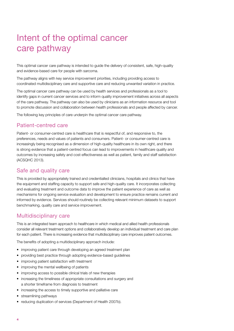# <span id="page-9-0"></span>Intent of the optimal cancer care pathway

This optimal cancer care pathway is intended to guide the delivery of consistent, safe, high-quality and evidence-based care for people with sarcoma.

The pathway aligns with key service improvement priorities, including providing access to coordinated multidisciplinary care and supportive care and reducing unwanted variation in practice.

The optimal cancer care pathway can be used by health services and professionals as a tool to identify gaps in current cancer services and to inform quality improvement initiatives across all aspects of the care pathway. The pathway can also be used by clinicians as an information resource and tool to promote discussion and collaboration between health professionals and people affected by cancer.

The following key principles of care underpin the optimal cancer care pathway.

# Patient-centred care

Patient- or consumer-centred care is healthcare that is respectful of, and responsive to, the preferences, needs and values of patients and consumers. Patient- or consumer-centred care is increasingly being recognised as a dimension of high-quality healthcare in its own right, and there is strong evidence that a patient-centred focus can lead to improvements in healthcare quality and outcomes by increasing safety and cost-effectiveness as well as patient, family and staff satisfaction (ACSQHC 2013).

# Safe and quality care

This is provided by appropriately trained and credentialled clinicians, hospitals and clinics that have the equipment and staffing capacity to support safe and high-quality care. It incorporates collecting and evaluating treatment and outcome data to improve the patient experience of care as well as mechanisms for ongoing service evaluation and development to ensure practice remains current and informed by evidence. Services should routinely be collecting relevant minimum datasets to support benchmarking, quality care and service improvement.

# Multidisciplinary care

This is an integrated team approach to healthcare in which medical and allied health professionals consider all relevant treatment options and collaboratively develop an individual treatment and care plan for each patient. There is increasing evidence that multidisciplinary care improves patient outcomes.

The benefits of adopting a multidisciplinary approach include:

- improving patient care through developing an agreed treatment plan
- providing best practice through adopting evidence-based guidelines
- improving patient satisfaction with treatment
- improving the mental wellbeing of patients
- improving access to possible clinical trials of new therapies
- increasing the timeliness of appropriate consultations and surgery and a shorter timeframe from diagnosis to treatment
- increasing the access to timely supportive and palliative care
- streamlining pathways
- reducing duplication of services (Department of Health 2007b).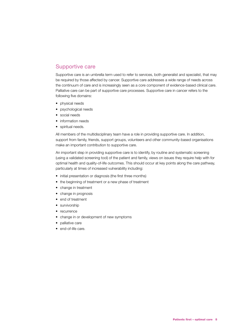# Supportive care

Supportive care is an umbrella term used to refer to services, both generalist and specialist, that may be required by those affected by cancer. Supportive care addresses a wide range of needs across the continuum of care and is increasingly seen as a core component of evidence-based clinical care. Palliative care can be part of supportive care processes. Supportive care in cancer refers to the following five domains:

- physical needs
- psychological needs
- social needs
- information needs
- spiritual needs.

All members of the multidisciplinary team have a role in providing supportive care. In addition, support from family, friends, support groups, volunteers and other community-based organisations make an important contribution to supportive care.

An important step in providing supportive care is to identify, by routine and systematic screening (using a validated screening tool) of the patient and family, views on issues they require help with for optimal health and quality-of-life outcomes. This should occur at key points along the care pathway, particularly at times of increased vulnerability including:

- initial presentation or diagnosis (the first three months)
- the beginning of treatment or a new phase of treatment
- change in treatment
- change in prognosis
- end of treatment
- survivorship
- recurrence
- change in or development of new symptoms
- palliative care
- end-of-life care.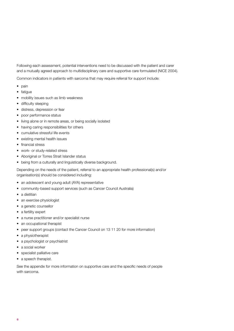Following each assessment, potential interventions need to be discussed with the patient and carer and a mutually agreed approach to multidisciplinary care and supportive care formulated (NICE 2004).

Common indicators in patients with sarcoma that may require referral for support include:

- pain
- fatigue
- mobility issues such as limb weakness
- difficulty sleeping
- distress, depression or fear
- poor performance status
- living alone or in remote areas, or being socially isolated
- having caring responsibilities for others
- cumulative stressful life events
- existing mental health issues
- financial stress
- work- or study-related stress
- Aboriginal or Torres Strait Islander status
- being from a culturally and linguistically diverse background.

Depending on the needs of the patient, referral to an appropriate health professional(s) and/or organisation(s) should be considered including:

- an adolescent and young adult (AYA) representative
- community-based support services (such as Cancer Council Australia)
- a dietitian
- an exercise physiologist
- a genetic counsellor
- a fertility expert
- a nurse practitioner and/or specialist nurse
- an occupational therapist
- peer support groups (contact the Cancer Council on 13 11 20 for more information)
- a physiotherapist
- a psychologist or psychiatrist
- a social worker
- specialist palliative care
- a speech therapist.

See the appendix for more information on supportive care and the specific needs of people with sarcoma.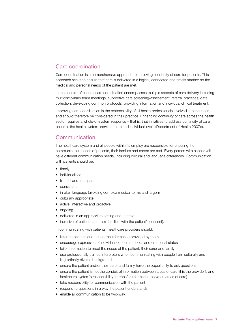# Care coordination

Care coordination is a comprehensive approach to achieving continuity of care for patients. This approach seeks to ensure that care is delivered in a logical, connected and timely manner so the medical and personal needs of the patient are met.

In the context of cancer, care coordination encompasses multiple aspects of care delivery including multidisciplinary team meetings, supportive care screening/assessment, referral practices, data collection, developing common protocols, providing information and individual clinical treatment.

Improving care coordination is the responsibility of all health professionals involved in patient care and should therefore be considered in their practice. Enhancing continuity of care across the health sector requires a whole-of-system response – that is, that initiatives to address continuity of care occur at the health system, service, team and individual levels (Department of Health 2007c).

# Communication

The healthcare system and all people within its employ are responsible for ensuring the communication needs of patients, their families and carers are met. Every person with cancer will have different communication needs, including cultural and language differences. Communication with patients should be:

- timely
- individualised
- truthful and transparent
- consistent
- in plain language (avoiding complex medical terms and jargon)
- culturally appropriate
- active, interactive and proactive
- ongoing
- delivered in an appropriate setting and context
- inclusive of patients and their families (with the patient's consent).

In communicating with patients, healthcare providers should:

- listen to patients and act on the information provided by them
- encourage expression of individual concerns, needs and emotional states
- tailor information to meet the needs of the patient, their carer and family
- use professionally trained interpreters when communicating with people from culturally and linguistically diverse backgrounds
- ensure the patient and/or their carer and family have the opportunity to ask questions
- ensure the patient is not the conduit of information between areas of care (it is the provider's and healthcare system's responsibility to transfer information between areas of care)
- take responsibility for communication with the patient
- respond to questions in a way the patient understands
- enable all communication to be two-way.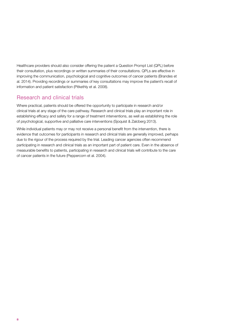Healthcare providers should also consider offering the patient a Question Prompt List (QPL) before their consultation, plus recordings or written summaries of their consultations. QPLs are effective in improving the communication, psychological and cognitive outcomes of cancer patients (Brandes et al. 2014). Providing recordings or summaries of key consultations may improve the patient's recall of information and patient satisfaction (Pitkethly et al. 2008).

# Research and clinical trials

Where practical, patients should be offered the opportunity to participate in research and/or clinical trials at any stage of the care pathway. Research and clinical trials play an important role in establishing efficacy and safety for a range of treatment interventions, as well as establishing the role of psychological, supportive and palliative care interventions (Sjoquist & Zalcberg 2013).

While individual patients may or may not receive a personal benefit from the intervention, there is evidence that outcomes for participants in research and clinical trials are generally improved, perhaps due to the rigour of the process required by the trial. Leading cancer agencies often recommend participating in research and clinical trials as an important part of patient care. Even in the absence of measurable benefits to patients, participating in research and clinical trials will contribute to the care of cancer patients in the future (Peppercorn et al. 2004).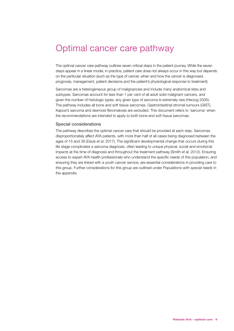# <span id="page-14-0"></span>Optimal cancer care pathway

The optimal cancer care pathway outlines seven critical steps in the patient journey. While the seven steps appear in a linear model, in practice, patient care does not always occur in this way but depends on the particular situation (such as the type of cancer, when and how the cancer is diagnosed, prognosis, management, patient decisions and the patient's physiological response to treatment).

Sarcomas are a heterogeneous group of malignancies and include many anatomical sites and subtypes. Sarcomas account for less than 1 per cent of all adult solid malignant cancers, and given the number of histologic types, any given type of sarcoma is extremely rare (Herzog 2005). The pathway includes all bone and soft tissue sarcomas. Gastrointestinal stromal tumours (GIST), Kaposi's sarcoma and desmoid fibromatosis are excluded. This document refers to 'sarcoma' when the recommendations are intended to apply to both bone and soft tissue sarcomas.

#### Special considerations

The pathway describes the optimal cancer care that should be provided at each step. Sarcomas disproportionately affect AYA patients, with more than half of all cases being diagnosed between the ages of 15 and 39 (Davis et al. 2017). The significant developmental change that occurs during this life stage complicates a sarcoma diagnosis, often leading to unique physical, social and emotional impacts at the time of diagnosis and throughout the treatment pathway (Smith et al. 2012). Ensuring access to expert AYA health professionals who understand the specific needs of this population, and ensuring they are linked with a youth cancer service, are essential considerations in providing care to this group. Further considerations for this group are outlined under *Populations with special needs* in the appendix.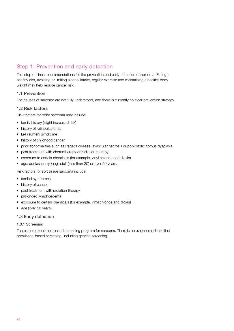# Step 1: Prevention and early detection

This step outlines recommendations for the prevention and early detection of sarcoma. Eating a healthy diet, avoiding or limiting alcohol intake, regular exercise and maintaining a healthy body weight may help reduce cancer risk.

# 1.1 Prevention

The causes of sarcoma are not fully understood, and there is currently no clear prevention strategy.

# 1.2 Risk factors

Risk factors for bone sarcoma may include:

- family history (slight increased risk)
- history of retinoblastoma
- Li-Fraumeni syndrome
- history of childhood cancer
- prior abnormalities such as Paget's disease, avascular necrosis or polyostotic fibrous dysplasia
- past treatment with chemotherapy or radiation therapy
- exposure to certain chemicals (for example, vinyl chloride and dioxin)
- age: adolescent/young adult (less than 30) or over 50 years.

Risk factors for soft tissue sarcoma include:

- familial syndromes
- history of cancer
- past treatment with radiation therapy
- prolonged lymphoedema
- exposure to certain chemicals (for example, vinyl chloride and dioxin)
- age (over 50 years).

# 1.3 Early detection

# 1.3.1 Screening

There is no population-based screening program for sarcoma. There is no evidence of benefit of population-based screening, including genetic screening.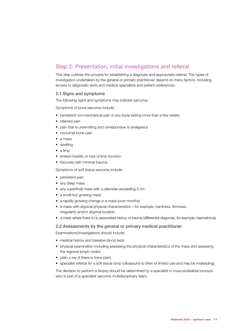# <span id="page-16-0"></span>Step 2: Presentation, initial investigations and referral

This step outlines the process for establishing a diagnosis and appropriate referral. The types of investigation undertaken by the general or primary practitioner depend on many factors, including access to diagnostic tests and medical specialists and patient preferences.

# 2.1 Signs and symptoms

The following signs and symptoms may indicate sarcoma.

Symptoms of bone sarcoma include:

- persistent non-mechanical pain in any bone lasting more than a few weeks
- referred pain
- pain that is unremitting and unresponsive to analgesics
- nocturnal bone pain
- a mass
- swelling
- a limp
- limited mobility or loss of limb function
- fractures with minimal trauma.

Symptoms of soft tissue sarcoma include:

- persistent pain
- any deep mass
- any superficial mass with a diameter exceeding 5 cm
- a small but growing mass
- a rapidly growing change in a mass (over months)
- a mass with atypical physical characteristics for example, hardness, firmness, irregularity and/or atypical location
- a mass where there is no associated history of trauma (differential diagnosis, for example, haematoma).

# 2.2 Assessments by the general or primary medical practitioner

Examinations/investigations should include:

- medical history and baseline blood tests
- physical examination including assessing the physical characteristics of the mass and assessing the regional lymph nodes
- plain x-ray (if there is bone pain)
- specialist referral for a soft tissue lump (ultrasound is often of limited use and may be misleading).

The decision to perform a biopsy should be determined by a specialist in musculoskeletal tumours who is part of a specialist sarcoma multidisciplinary team.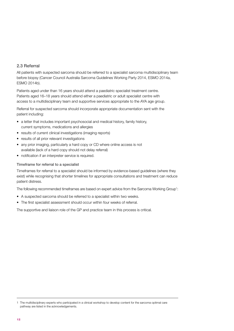# 2.3 Referral

All patients with suspected sarcoma should be referred to a specialist sarcoma multidisciplinary team before biopsy (Cancer Council Australia Sarcoma Guidelines Working Party 2014, ESMO 2014a, ESMO 2014b).

Patients aged under than 16 years should attend a paediatric specialist treatment centre. Patients aged 16–18 years should attend either a paediatric or adult specialist centre with access to a multidisciplinary team and supportive services appropriate to the AYA age group.

Referral for suspected sarcoma should incorporate appropriate documentation sent with the patient including:

- a letter that includes important psychosocial and medical history, family history, current symptoms, medications and allergies
- results of current clinical investigations (imaging reports)
- results of all prior relevant investigations
- any prior imaging, particularly a hard copy or CD where online access is not available (lack of a hard copy should not delay referral)
- notification if an interpreter service is required.

# Timeframe for referral to a specialist

Timeframes for referral to a specialist should be informed by evidence-based guidelines (where they exist) while recognising that shorter timelines for appropriate consultations and treatment can reduce patient distress.

The following recommended timeframes are based on expert advice from the Sarcoma Working Group<sup>1</sup>:

- A suspected sarcoma should be referred to a specialist within two weeks.
- The first specialist assessment should occur within four weeks of referral.

The supportive and liaison role of the GP and practice team in this process is critical.

<sup>1</sup> The multidisciplinary experts who participated in a clinical workshop to develop content for the sarcoma optimal care pathway are listed in the acknowledgements.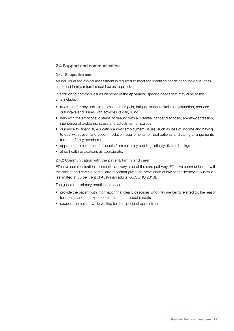# 2.4 Support and communication

# 2.4.1 Supportive care

An individualised clinical assessment is required to meet the identified needs of an individual, their carer and family; referral should be as required.

In addition to common issues identified in the appendix, specific needs that may arise at this time include:

- treatment for physical symptoms such as pain, fatigue, musculoskeletal dysfunction, reduced oral intake and issues with activities of daily living
- help with the emotional distress of dealing with a potential cancer diagnosis, anxiety/depression, interpersonal problems, stress and adjustment difficulties
- guidance for financial, education and/or employment issues (such as loss of income and having to deal with travel, and accommodation requirements for rural patients and caring arrangements for other family members)
- appropriate information for people from culturally and linguistically diverse backgrounds
- allied health evaluations as appropriate.

# 2.4.2 Communication with the patient, family and carer

Effective communication is essential at every step of the care pathway. Effective communication with the patient and carer is particularly important given the prevalence of low health literacy in Australia (estimated at 60 per cent of Australian adults) (ACSQHC 2013).

The general or primary practitioner should:

- provide the patient with information that clearly describes who they are being referred to, the reason for referral and the expected timeframe for appointments
- support the patient while waiting for the specialist appointment.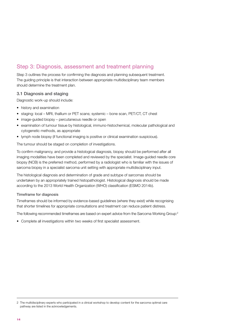# <span id="page-19-0"></span>Step 3: Diagnosis, assessment and treatment planning

Step 3 outlines the process for confirming the diagnosis and planning subsequent treatment. The guiding principle is that interaction between appropriate multidisciplinary team members should determine the treatment plan.

# 3.1 Diagnosis and staging

Diagnostic work-up should include:

- history and examination
- staging: local MRI, thallium or PET scans; systemic bone scan, PET/CT, CT chest
- image-guided biopsy percutaneous needle or open
- examination of tumour tissue by histological, immuno-histochemical, molecular pathological and cytogenetic methods, as appropriate
- lymph node biopsy (if functional imaging is positive or clinical examination suspicious).

The tumour should be staged on completion of investigations.

To confirm malignancy, and provide a histological diagnosis, biopsy should be performed after all imaging modalities have been completed and reviewed by the specialist. Image-guided needle core biopsy (NCB) is the preferred method, performed by a radiologist who is familiar with the issues of sarcoma biopsy in a specialist sarcoma unit setting with appropriate multidisciplinary input.

The histological diagnosis and determination of grade and subtype of sarcomas should be undertaken by an appropriately trained histopathologist. Histological diagnosis should be made according to the 2013 World Health Organization (WHO) classification (ESMO 2014b).

# Timeframe for diagnosis

Timeframes should be informed by evidence-based guidelines (where they exist) while recognising that shorter timelines for appropriate consultations and treatment can reduce patient distress.

The following recommended timeframes are based on expert advice from the Sarcoma Working Group:<sup>2</sup>

• Complete all investigations within two weeks of first specialist assessment.

<sup>2</sup> The multidisciplinary experts who participated in a clinical workshop to develop content for the sarcoma optimal care pathway are listed in the acknowledgements.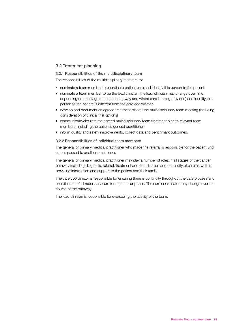# 3.2 Treatment planning

# 3.2.1 Responsibilities of the multidisciplinary team

The responsibilities of the multidisciplinary team are to:

- nominate a team member to coordinate patient care and identify this person to the patient
- nominate a team member to be the lead clinician (the lead clinician may change over time depending on the stage of the care pathway and where care is being provided) and identify this person to the patient (if different from the care coordinator)
- develop and document an agreed treatment plan at the multidisciplinary team meeting (including consideration of clinical trial options)
- communicate/circulate the agreed multidisciplinary team treatment plan to relevant team members, including the patient's general practitioner
- inform quality and safety improvements, collect data and benchmark outcomes.

#### 3.2.2 Responsibilities of individual team members

The general or primary medical practitioner who made the referral is responsible for the patient until care is passed to another practitioner.

The general or primary medical practitioner may play a number of roles in all stages of the cancer pathway including diagnosis, referral, treatment and coordination and continuity of care as well as providing information and support to the patient and their family.

The care coordinator is responsible for ensuring there is continuity throughout the care process and coordination of all necessary care for a particular phase. The care coordinator may change over the course of the pathway.

The lead clinician is responsible for overseeing the activity of the team.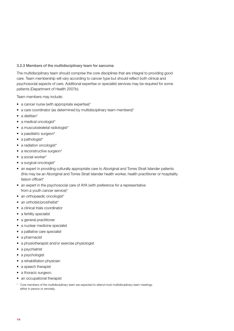# 3.2.3 Members of the multidisciplinary team for sarcoma

The multidisciplinary team should comprise the core disciplines that are integral to providing good care. Team membership will vary according to cancer type but should reflect both clinical and psychosocial aspects of care. Additional expertise or specialist services may be required for some patients (Department of Health 2007b).

Team members may include:

- a cancer nurse (with appropriate expertise)\*
- a care coordinator (as determined by multidisciplinary team members)\*
- a dietitian\*
- a medical oncologist\*
- a musculoskeletal radiologist\*
- a paediatric surgeon\*
- a pathologist\*
- a radiation oncologist\*
- a reconstructive surgeon\*
- a social worker\*
- a surgical oncologist\*
- an expert in providing culturally appropriate care to Aboriginal and Torres Strait Islander patients (this may be an Aboriginal and Torres Strait Islander health worker, health practitioner or hospitality liaison officer)\*
- an expert in the psychosocial care of AYA (with preference for a representative from a youth cancer service)\*
- an orthopaedic oncologist\*
- an orthotist/prosthetist\*
- a clinical trials coordinator
- a fertility specialist
- a general practitioner
- a nuclear medicine specialist
- a palliative care specialist
- a pharmacist
- a physiotherapist and/or exercise physiologist
- a psychiatrist
- a psychologist
- a rehabilitation physician
- a speech therapist
- a thoracic surgeon.
- an occupational therapist
- Core members of the multidisciplinary team are expected to attend most multidisciplinary team meetings either in person or remotely.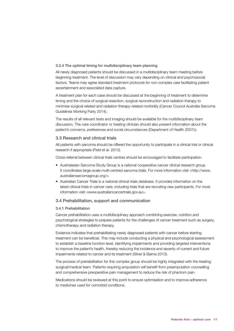#### 3.2.4 The optimal timing for multidisciplinary team planning

All newly diagnosed patients should be discussed in a multidisciplinary team meeting before beginning treatment. The level of discussion may vary depending on clinical and psychosocial factors. Teams may agree standard treatment protocols for non-complex care facilitating patient ascertainment and associated data capture.

A treatment plan for each case should be discussed at the beginning of treatment to determine timing and the choice of surgical resection, surgical reconstruction and radiation therapy to minimise surgical-related and radiation therapy-related morbidity (Cancer Council Australia Sarcoma Guidelines Working Party 2014).

The results of all relevant tests and imaging should be available for the multidisciplinary team discussion. The care coordinator or treating clinician should also present information about the patient's concerns, preferences and social circumstances (Department of Health 2007c).

# 3.3 Research and clinical trials

All patients with sarcoma should be offered the opportunity to participate in a clinical trial or clinical research if appropriate (Field et al. 2013).

Cross-referral between clinical trials centres should be encouraged to facilitate participation.

- Australasian Sarcoma Study Group is a national cooperative cancer clinical research group. It coordinates large-scale multi-centred sarcoma trials. For more information visit [<http://www.](http://www.australiansarcomagroup.org/) [australiansarcomagroup.org/>](http://www.australiansarcomagroup.org/).
- Australian Cancer Trials is a national clinical trials database. It provides information on the latest clinical trials in cancer care, including trials that are recruiting new participants. For more information visit <[www.australiancancertrials.gov.au](http://www.australiancancertrials.gov.au/)>.

# 3.4 Prehabilitation, support and communication

# 3.4.1 Prehabilitation

Cancer prehabilitation uses a multidisciplinary approach combining exercise, nutrition and psychological strategies to prepare patients for the challenges of cancer treatment such as surgery, chemotherapy and radiation therapy.

Evidence indicates that prehabilitating newly diagnosed patients with cancer before starting treatment can be beneficial. This may include conducting a physical and psychological assessment to establish a baseline function level, identifying impairments and providing targeted interventions to improve the patient's health, thereby reducing the incidence and severity of current and future impairments related to cancer and its treatment (Silver & Baima 2013).

The process of prehabilitation for this complex group should be highly integrated with the treating surgical/medical team. Patients requiring amputation will benefit from preamputation counselling and comprehensive preoperative pain management to reduce the risk of phantom pain.

Medications should be reviewed at this point to ensure optimisation and to improve adherence to medicines used for comorbid conditions.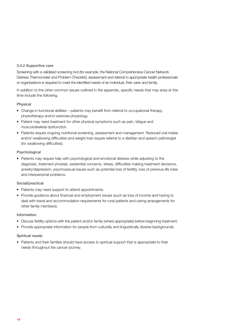# 3.4.2 Supportive care

Screening with a validated screening tool (for example, the National Comprehensive Cancer Network Distress Thermometer and Problem Checklist), assessment and referral to appropriate health professionals or organisations is required to meet the identified needs of an individual, their carer and family.

In addition to the other common issues outlined in the appendix, specific needs that may arise at this time include the following.

# Physical

- Change in functional abilities patients may benefit from referral to occupational therapy, physiotherapy and/or exercise physiology.
- Patient may need treatment for other physical symptoms such as pain, fatigue and musculoskeletal dysfunction.
- Patients require ongoing nutritional screening, assessment and management. Reduced oral intake and/or swallowing difficulties and weight loss require referral to a dietitian and speech pathologist (for swallowing difficulties).

# Psychological

• Patients may require help with psychological and emotional distress while adjusting to the diagnosis, treatment phobias, existential concerns, stress, difficulties making treatment decisions, anxiety/depression, psychosexual issues such as potential loss of fertility, loss of previous life roles and interpersonal problems.

# Social/practical

- Patients may need support to attend appointments.
- Provide guidance about financial and employment issues (such as loss of income and having to deal with travel and accommodation requirements for rural patients and caring arrangements for other family members).

# Information

- Discuss fertility options with the patient and/or family (where appropriate) before beginning treatment.
- Provide appropriate information for people from culturally and linguistically diverse backgrounds.

# Spiritual needs

• Patients and their families should have access to spiritual support that is appropriate to their needs throughout the cancer journey.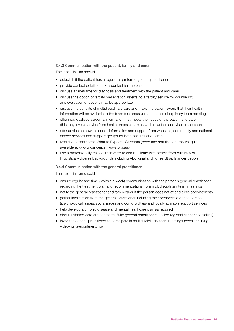# 3.4.3 Communication with the patient, family and carer

The lead clinician should:

- establish if the patient has a regular or preferred general practitioner
- provide contact details of a key contact for the patient
- discuss a timeframe for diagnosis and treatment with the patient and carer
- discuss the option of fertility preservation (referral to a fertility service for counselling and evaluation of options may be appropriate)
- discuss the benefits of multidisciplinary care and make the patient aware that their health information will be available to the team for discussion at the multidisciplinary team meeting
- offer individualised sarcoma information that meets the needs of the patient and carer (this may involve advice from health professionals as well as written and visual resources)
- offer advice on how to access information and support from websites, community and national cancer services and support groups for both patients and carers
- refer the patient to the What to Expect Sarcoma (bone and soft tissue tumours) guide, available at <[www.cancerpathways.org.au>](file:///C:\Users\jpost\AppData\Local\Microsoft\Windows\INetCache\Content.Outlook\IFXB0EY2\www.cancerpathways.org.au)
- use a professionally trained interpreter to communicate with people from culturally or linguistically diverse backgrounds including Aboriginal and Torres Strait Islander people.

# 3.4.4 Communication with the general practitioner

The lead clinician should:

- ensure regular and timely (within a week) communication with the person's general practitioner regarding the treatment plan and recommendations from multidisciplinary team meetings
- notify the general practitioner and family/carer if the person does not attend clinic appointments
- gather information from the general practitioner including their perspective on the person (psychological issues, social issues and comorbidities) and locally available support services
- help develop a chronic disease and mental healthcare plan as required
- discuss shared care arrangements (with general practitioners and/or regional cancer specialists)
- invite the general practitioner to participate in multidisciplinary team meetings (consider using video- or teleconferencing).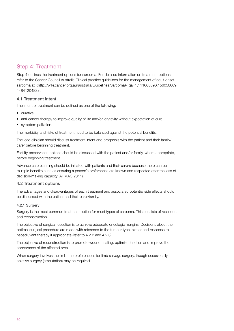# <span id="page-25-0"></span>Step 4: Treatment

Step 4 outlines the treatment options for sarcoma. For detailed information on treatment options refer to the Cancer Council Australia Clinical practice guidelines for the management of adult onset sarcoma at <http://wiki.cancer.org.au/australia/Guidelines:Sarcoma#\_ga=1.111603396.156050689. 1484120483>.

# 4.1 Treatment intent

The intent of treatment can be defined as one of the following:

- curative
- anti-cancer therapy to improve quality of life and/or longevity without expectation of cure
- symptom palliation.

The morbidity and risks of treatment need to be balanced against the potential benefits.

The lead clinician should discuss treatment intent and prognosis with the patient and their family/ carer before beginning treatment.

Fertility preservation options should be discussed with the patient and/or family, where appropriate, before beginning treatment.

Advance care planning should be initiated with patients and their carers because there can be multiple benefits such as ensuring a person's preferences are known and respected after the loss of decision-making capacity (AHMAC 2011).

# 4.2 Treatment options

The advantages and disadvantages of each treatment and associated potential side effects should be discussed with the patient and their carer/family.

# 4.2.1 Surgery

Surgery is the most common treatment option for most types of sarcoma. This consists of resection and reconstruction.

The objective of surgical resection is to achieve adequate oncologic margins. Decisions about the optimal surgical procedure are made with reference to the tumour type, extent and response to neoadjuvant therapy if appropriate (refer to 4.2.2 and 4.2.3).

The objective of reconstruction is to promote wound healing, optimise function and improve the appearance of the affected area.

When surgery involves the limb, the preference is for limb salvage surgery, though occasionally ablative surgery (amputation) may be required.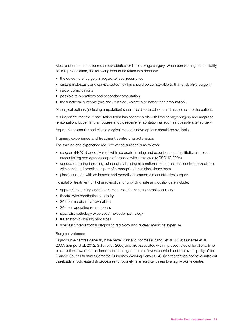Most patients are considered as candidates for limb salvage surgery. When considering the feasibility of limb preservation, the following should be taken into account:

- the outcome of surgery in regard to local recurrence
- distant metastasis and survival outcome (this should be comparable to that of ablative surgery)
- risk of complications
- possible re-operations and secondary amputation
- the functional outcome (this should be equivalent to or better than amputation).

All surgical options (including amputation) should be discussed with and acceptable to the patient.

It is important that the rehabilitation team has specific skills with limb salvage surgery and amputee rehabilitation. Upper limb amputees should receive rehabilitation as soon as possible after surgery.

Appropriate vascular and plastic surgical reconstructive options should be available.

#### Training, experience and treatment centre characteristics

The training and experience required of the surgeon is as follows:

- surgeon (FRACS or equivalent) with adequate training and experience and institutional crosscredentialling and agreed scope of practice within this area (ACSQHC 2004)
- adequate training including subspecialty training at a national or international centre of excellence with continued practice as part of a recognised multidisciplinary team
- plastic surgeon with an interest and expertise in sarcoma reconstructive surgery.

Hospital or treatment unit characteristics for providing safe and quality care include:

- appropriate nursing and theatre resources to manage complex surgery
- theatre with prosthetics capability
- 24-hour medical staff availability
- 24-hour operating room access
- specialist pathology expertise / molecular pathology
- full anatomic imaging modalities
- specialist interventional diagnostic radiology and nuclear medicine expertise.

#### Surgical volumes

High-volume centres generally have better clinical outcomes (Bhangu et al. 2004; Gutierrez et al. 2007; Sampo et al. 2012; Stiller et al. 2006) and are associated with improved rates of functional limb preservation, lower rates of local recurrence, good rates of overall survival and improved quality of life (Cancer Council Australia Sarcoma Guidelines Working Party 2014). Centres that do not have sufficient caseloads should establish processes to routinely refer surgical cases to a high-volume centre.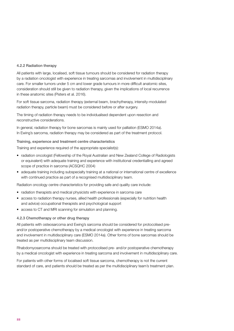#### 4.2.2 Radiation therapy

All patients with large, localised, soft tissue tumours should be considered for radiation therapy by a radiation oncologist with experience in treating sarcomas and involvement in multidisciplinary care. For smaller tumors under 5 cm and lower grade tumours in more difficult anatomic sites, consideration should still be given to radiation therapy, given the implications of local recurrence in these anatomic sites (Pisters et al. 2016).

For soft tissue sarcoma, radiation therapy (external beam, brachytherapy, intensity-modulated radiation therapy, particle beam) must be considered before or after surgery.

The timing of radiation therapy needs to be individualised dependent upon resection and reconstructive considerations.

In general, radiation therapy for bone sarcomas is mainly used for palliation (ESMO 2014a). In Ewing's sarcoma, radiation therapy may be considered as part of the treatment protocol.

#### Training, experience and treatment centre characteristics

Training and experience required of the appropriate specialist(s):

- radiation oncologist (Fellowship of the Royal Australian and New Zealand College of Radiologists or equivalent) with adequate training and experience with institutional credentialling and agreed scope of practice in sarcoma (ACSQHC 2004)
- adequate training including subspecialty training at a national or international centre of excellence with continued practice as part of a recognised multidisciplinary team.

Radiation oncology centre characteristics for providing safe and quality care include:

- radiation therapists and medical physicists with experience in sarcoma care
- access to radiation therapy nurses, allied health professionals (especially for nutrition health and advice) occupational therapists and psychological support
- access to CT and MRI scanning for simulation and planning.

#### 4.2.3 Chemotherapy or other drug therapy

All patients with osteosarcoma and Ewing's sarcoma should be considered for protocolised preand/or postoperative chemotherapy by a medical oncologist with experience in treating sarcoma and involvement in multidisciplinary care (ESMO 2014a). Other forms of bone sarcomas should be treated as per multidisciplinary team discussion.

Rhabdomyosarcoma should be treated with protocolised pre- and/or postoperative chemotherapy by a medical oncologist with experience in treating sarcoma and involvement in multidisciplinary care.

For patients with other forms of localised soft tissue sarcoma, chemotherapy is not the current standard of care, and patients should be treated as per the multidisciplinary team's treatment plan.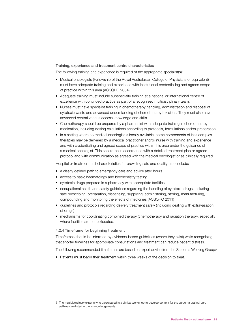#### Training, experience and treatment centre characteristics

The following training and experience is required of the appropriate specialist(s):

- Medical oncologists (Fellowship of the Royal Australasian College of Physicians or equivalent) must have adequate training and experience with institutional credentialling and agreed scope of practice within this area (ACSQHC 2004).
- Adequate training must include subspecialty training at a national or international centre of excellence with continued practice as part of a recognised multidisciplinary team.
- Nurses must have specialist training in chemotherapy handling, administration and disposal of cytotoxic waste and advanced understanding of chemotherapy toxicities. They must also have advanced central venous access knowledge and skills.
- Chemotherapy should be prepared by a pharmacist with adequate training in chemotherapy medication, including dosing calculations according to protocols, formulations and/or preparation.
- In a setting where no medical oncologist is locally available, some components of less complex therapies may be delivered by a medical practitioner and/or nurse with training and experience and with credentialling and agreed scope of practice within this area under the guidance of a medical oncologist. This should be in accordance with a detailed treatment plan or agreed protocol and with communication as agreed with the medical oncologist or as clinically required.

Hospital or treatment unit characteristics for providing safe and quality care include:

- a clearly defined path to emergency care and advice after hours
- access to basic haematology and biochemistry testing
- cytotoxic drugs prepared in a pharmacy with appropriate facilities
- occupational health and safety guidelines regarding the handling of cytotoxic drugs, including safe prescribing, preparation, dispensing, supplying, administering, storing, manufacturing, compounding and monitoring the effects of medicines (ACSQHC 2011)
- guidelines and protocols regarding delivery treatment safely (including dealing with extravasation of drugs)
- mechanisms for coordinating combined therapy (chemotherapy and radiation therapy), especially where facilities are not collocated.

#### 4.2.4 Timeframe for beginning treatment

Timeframes should be informed by evidence-based guidelines (where they exist) while recognising that shorter timelines for appropriate consultations and treatment can reduce patient distress.

The following recommended timeframes are based on expert advice from the Sarcoma Working Group:3

• Patients must begin their treatment within three weeks of the decision to treat.

<sup>3</sup> The multidisciplinary experts who participated in a clinical workshop to develop content for the sarcoma optimal care pathway are listed in the acknowledgements.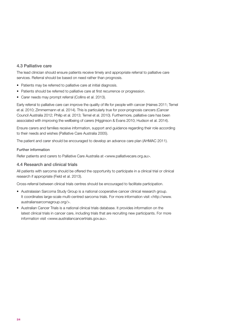# 4.3 Palliative care

The lead clinician should ensure patients receive timely and appropriate referral to palliative care services. Referral should be based on need rather than prognosis.

- Patients may be referred to palliative care at initial diagnosis.
- Patients should be referred to palliative care at first recurrence or progression.
- Carer needs may prompt referral (Collins et al. 2013).

Early referral to palliative care can improve the quality of life for people with cancer (Haines 2011; Temel et al. 2010; Zimmermann et al. 2014). This is particularly true for poor-prognosis cancers (Cancer Council Australia 2012; Philip et al. 2013; Temel et al. 2010). Furthermore, palliative care has been associated with improving the wellbeing of carers (Higginson & Evans 2010; Hudson et al. 2014).

Ensure carers and families receive information, support and guidance regarding their role according to their needs and wishes (Palliative Care Australia 2005).

The patient and carer should be encouraged to develop an advance care plan (AHMAC 2011).

# Further information

Refer patients and carers to Palliative Care Australia at <[www.palliativecare.org.au>](http://www.palliativecare.org.au/).

# 4.4 Research and clinical trials

All patients with sarcoma should be offered the opportunity to participate in a clinical trial or clinical research if appropriate (Field et al. 2013).

Cross-referral between clinical trials centres should be encouraged to facilitate participation.

- Australasian Sarcoma Study Group is a national cooperative cancer clinical research group. It coordinates large-scale multi-centred sarcoma trials. For more information visit <[http://www.](http://www.australiansarcomagroup.org/) [australiansarcomagroup.org/](http://www.australiansarcomagroup.org/)>.
- Australian Cancer Trials is a national clinical trials database. It provides information on the latest clinical trials in cancer care, including trials that are recruiting new participants. For more information visit <[www.australiancancertrials.gov.au>](http://www.australiancancertrials.gov.au/).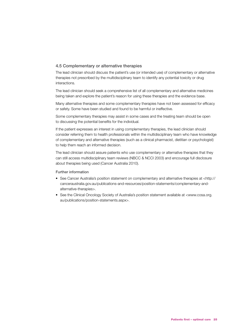# 4.5 Complementary or alternative therapies

The lead clinician should discuss the patient's use (or intended use) of complementary or alternative therapies not prescribed by the multidisciplinary team to identify any potential toxicity or drug interactions.

The lead clinician should seek a comprehensive list of all complementary and alternative medicines being taken and explore the patient's reason for using these therapies and the evidence base.

Many alternative therapies and some complementary therapies have not been assessed for efficacy or safety. Some have been studied and found to be harmful or ineffective.

Some complementary therapies may assist in some cases and the treating team should be open to discussing the potential benefits for the individual.

If the patient expresses an interest in using complementary therapies, the lead clinician should consider referring them to health professionals within the multidisciplinary team who have knowledge of complementary and alternative therapies (such as a clinical pharmacist, dietitian or psychologist) to help them reach an informed decision.

The lead clinician should assure patients who use complementary or alternative therapies that they can still access multidisciplinary team reviews (NBCC & NCCI 2003) and encourage full disclosure about therapies being used (Cancer Australia 2010).

#### Further information

- See Cancer Australia's position statement on complementary and alternative therapies at [<http://](http://canceraustralia.gov.au/publications-and-resources/position-statements/complementary-and-alternative-therapies) [canceraustralia.gov.au/publications-and-resources/position-statements/complementary-and](http://canceraustralia.gov.au/publications-and-resources/position-statements/complementary-and-alternative-therapies)[alternative-therapies>](http://canceraustralia.gov.au/publications-and-resources/position-statements/complementary-and-alternative-therapies).
- See the Clinical Oncology Society of Australia's position statement available at <[www.cosa.org.](http://www.cosa.org.au/publications/position-statements.aspx) [au/publications/position-statements.aspx](http://www.cosa.org.au/publications/position-statements.aspx)>.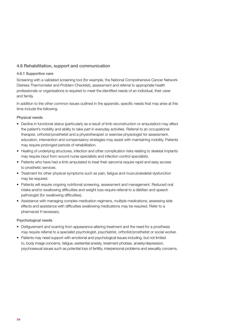# 4.6 Rehabilitation, support and communication

# 4.6.1 Supportive care

Screening with a validated screening tool (for example, the National Comprehensive Cancer Network Distress Thermometer and Problem Checklist), assessment and referral to appropriate health professionals or organisations is required to meet the identified needs of an individual, their carer and family.

In addition to the other common issues outlined in the appendix, specific needs that may arise at this time include the following.

# Physical needs

- Decline in functional status (particularly as a result of limb reconstruction or amputation) may affect the patient's mobility and ability to take part in everyday activities. Referral to an occupational therapist, orthotist/prosthetist and a physiotherapist or exercise physiologist for assessment, education, intervention and compensatory strategies may assist with maintaining mobility. Patients may require prolonged periods of rehabilitation.
- Healing of underlying structures, infection and other complication risks relating to skeletal implants may require input from wound nurse specialists and infection control specialists.
- Patients who have had a limb amputated to treat their sarcoma require rapid and easy access to prosthetic services.
- Treatment for other physical symptoms such as pain, fatigue and musculoskeletal dysfunction may be required.
- Patients will require ongoing nutritional screening, assessment and management. Reduced oral intake and/or swallowing difficulties and weight loss require referral to a dietitian and speech pathologist (for swallowing difficulties).
- Assistance with managing complex medication regimens, multiple medications, assessing side effects and assistance with difficulties swallowing medications may be required. Refer to a pharmacist if necessary.

# Psychological needs

- Disfigurement and scarring from appearance-altering treatment and the need for a prosthesis may require referral to a specialist psychologist, psychiatrist, orthotist/prosthetist or social worker.
- Patients may need support with emotional and psychological issues including, but not limited to, body image concerns, fatigue, existential anxiety, treatment phobias, anxiety/depression, psychosexual issues such as potential loss of fertility, interpersonal problems and sexuality concerns.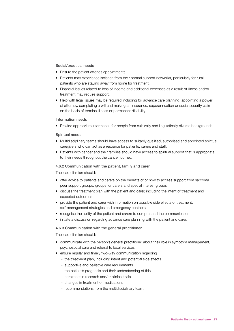#### Social/practical needs

- Ensure the patient attends appointments.
- Patients may experience isolation from their normal support networks, particularly for rural patients who are staying away from home for treatment.
- Financial issues related to loss of income and additional expenses as a result of illness and/or treatment may require support.
- Help with legal issues may be required including for advance care planning, appointing a power of attorney, completing a will and making an insurance, superannuation or social security claim on the basis of terminal illness or permanent disability.

#### Information needs

• Provide appropriate information for people from culturally and linguistically diverse backgrounds.

#### Spiritual needs

- Multidisciplinary teams should have access to suitably qualified, authorised and appointed spiritual caregivers who can act as a resource for patients, carers and staff.
- Patients with cancer and their families should have access to spiritual support that is appropriate to their needs throughout the cancer journey.

#### 4.6.2 Communication with the patient, family and carer

The lead clinician should:

- offer advice to patients and carers on the benefits of or how to access support from sarcoma peer support groups, groups for carers and special interest groups
- discuss the treatment plan with the patient and carer, including the intent of treatment and expected outcomes
- provide the patient and carer with information on possible side effects of treatment, self-management strategies and emergency contacts
- recognise the ability of the patient and carers to comprehend the communication
- initiate a discussion regarding advance care planning with the patient and carer.

#### 4.6.3 Communication with the general practitioner

The lead clinician should:

- communicate with the person's general practitioner about their role in symptom management, psychosocial care and referral to local services
- ensure regular and timely two-way communication regarding
	- the treatment plan, including intent and potential side effects
	- supportive and palliative care requirements
	- the patient's prognosis and their understanding of this
	- enrolment in research and/or clinical trials
	- changes in treatment or medications
	- recommendations from the multidisciplinary team.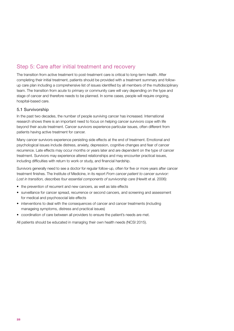# <span id="page-33-0"></span>Step 5: Care after initial treatment and recovery

The transition from active treatment to post-treatment care is critical to long-term health. After completing their initial treatment, patients should be provided with a treatment summary and followup care plan including a comprehensive list of issues identified by all members of the multidisciplinary team. The transition from acute to primary or community care will vary depending on the type and stage of cancer and therefore needs to be planned. In some cases, people will require ongoing, hospital-based care.

# 5.1 Survivorship

In the past two decades, the number of people surviving cancer has increased. International research shows there is an important need to focus on helping cancer survivors cope with life beyond their acute treatment. Cancer survivors experience particular issues, often different from patients having active treatment for cancer.

Many cancer survivors experience persisting side effects at the end of treatment. Emotional and psychological issues include distress, anxiety, depression, cognitive changes and fear of cancer recurrence. Late effects may occur months or years later and are dependent on the type of cancer treatment. Survivors may experience altered relationships and may encounter practical issues, including difficulties with return to work or study, and financial hardship.

Survivors generally need to see a doctor for regular follow-up, often for five or more years after cancer treatment finishes. The Institute of Medicine, in its report *From cancer patient to cancer survivor: Lost in transition, describes four essential components of survivorship care* (Hewitt et al. 2006):

- the prevention of recurrent and new cancers, as well as late effects
- surveillance for cancer spread, recurrence or second cancers, and screening and assessment for medical and psychosocial late effects
- interventions to deal with the consequences of cancer and cancer treatments (including manageing symptoms, distress and practical issues)
- coordination of care between all providers to ensure the patient's needs are met.

All patients should be educated in managing their own health needs (NCSI 2015).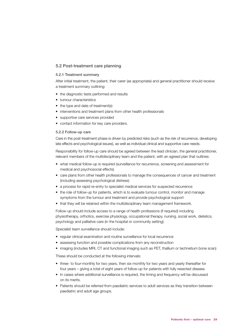# 5.2 Post-treatment care planning

# 5.2.1 Treatment summary

After initial treatment, the patient, their carer (as appropriate) and general practitioner should receive a treatment summary outlining:

- the diagnostic tests performed and results
- tumour characteristics
- the type and date of treatment(s)
- interventions and treatment plans from other health professionals
- supportive care services provided
- contact information for key care providers.

# 5.2.2 Follow-up care

Care in the post-treatment phase is driven by predicted risks (such as the risk of recurrence, developing late effects and psychological issues), as well as individual clinical and supportive care needs.

Responsibility for follow-up care should be agreed between the lead clinician, the general practitioner, relevant members of the multidisciplinary team and the patient, with an agreed plan that outlines:

- what medical follow-up is required (surveillance for recurrence, screening and assessment for medical and psychosocial effects)
- care plans from other health professionals to manage the consequences of cancer and treatment (including assessing psychological distress)
- a process for rapid re-entry to specialist medical services for suspected recurrence
- the role of follow-up for patients, which is to evaluate tumour control, monitor and manage symptoms from the tumour and treatment and provide psychological support
- that they will be retained within the multidisciplinary team management framework.

Follow-up should include access to a range of health professions (if required) including physiotherapy, orthotics, exercise physiology, occupational therapy, nursing, social work, dietetics, psychology and palliative care (in the hospital or community setting).

Specialist team surveillance should include:

- regular clinical examination and routine surveillance for local recurrence
- assessing function and possible complications from any reconstruction
- imaging (includes MRI, CT and functional imaging such as PET, thallium or technetium bone scan)

These should be conducted at the following intervals:

- three- to four-monthly for two years, then six-monthly for two years and yearly thereafter for four years – giving a total of eight years of follow-up for patients with fully resected disease.
- In cases where additional surveillance is required, the timing and frequency will be discussed on its merits.
- Patients should be referred from paediatric services to adult services as they transition between paediatric and adult age groups.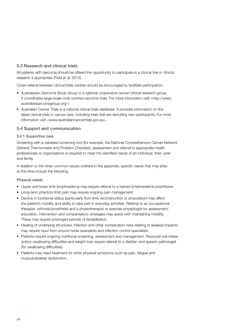# 5.3 Research and clinical trials

All patients with sarcoma should be offered the opportunity to participate in a clinical trial or clinical research if appropriate (Field et al. 2013).

Cross-referral between clinical trials centres should be encouraged to facilitate participation.

- Australasian Sarcoma Study Group is a national cooperative cancer clinical research group. It coordinates large-scale multi-centred sarcoma trials. For more information visit <[http://www.](http://www.australiansarcomagroup.org/) [australiansarcomagroup.org/](http://www.australiansarcomagroup.org/)>.
- Australian Cancer Trials is a national clinical trials database. It provides information on the latest clinical trials in cancer care, including trials that are recruiting new participants. For more information visit <[www.australiancancertrials.gov.au>](http://www.australiancancertrials.gov.au/).

# 5.4 Support and communication

# 5.4.1 Supportive care

Screening with a validated screening tool (for example, the National Comprehensive Cancer Network Distress Thermometer and Problem Checklist), assessment and referral to appropriate health professionals or organisations is required to meet the identified needs of an individual, their carer and family.

In addition to the other common issues outlined in the appendix, specific needs that may arise at this time include the following.

# Physical needs

- Upper and lower limb lymphoedema may require referral to a trained lymphoedema practitioner.
- Long-term phantom limb pain may require ongoing pain management.
- Decline in functional status (particularly from limb reconstruction or amputation) may affect the patient's mobility and ability to take part in everyday activities. Referral to an occupational therapist, orthotist/prosthetist and a physiotherapist or exercise physiologist for assessment, education, intervention and compensatory strategies may assist with maintaining mobility. These may require prolonged periods of rehabilitation.
- Healing of underlying structures, infection and other complication risks relating to skeletal implants may require input from wound nurse specialists and infection control specialists.
- Patients require ongoing nutritional screening, assessment and management. Reduced oral intake and/or swallowing difficulties and weight loss require referral to a dietitian and speech pathologist (for swallowing difficulties).
- Patients may need treatment for other physical symptoms such as pain, fatigue and musculoskeletal dysfunction.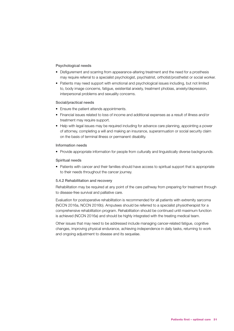# Psychological needs

- Disfigurement and scarring from appearance-altering treatment and the need for a prosthesis may require referral to a specialist psychologist, psychiatrist, orthotist/prosthetist or social worker.
- Patients may need support with emotional and psychological issues including, but not limited to, body image concerns, fatigue, existential anxiety, treatment phobias, anxiety/depression, interpersonal problems and sexuality concerns.

# Social/practical needs

- Ensure the patient attends appointments.
- Financial issues related to loss of income and additional expenses as a result of illness and/or treatment may require support.
- Help with legal issues may be required including for advance care planning, appointing a power of attorney, completing a will and making an insurance, superannuation or social security claim on the basis of terminal illness or permanent disability.

#### Information needs

• Provide appropriate information for people from culturally and linguistically diverse backgrounds.

#### Spiritual needs

• Patients with cancer and their families should have access to spiritual support that is appropriate to their needs throughout the cancer journey.

# 5.4.2 Rehabilitation and recovery

Rehabilitation may be required at any point of the care pathway from preparing for treatment through to disease-free survival and palliative care.

Evaluation for postoperative rehabilitation is recommended for all patients with extremity sarcoma (NCCN 2016a, NCCN 2016b). Amputees should be referred to a specialist physiotherapist for a comprehensive rehabilitation program. Rehabilitation should be continued until maximum function is achieved (NCCN 2016a) and should be highly integrated with the treating medical team.

Other issues that may need to be addressed include managing cancer-related fatigue, cognitive changes, improving physical endurance, achieving independence in daily tasks, returning to work and ongoing adjustment to disease and its sequelae.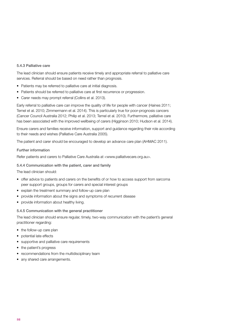#### 5.4.3 Palliative care

The lead clinician should ensure patients receive timely and appropriate referral to palliative care services. Referral should be based on need rather than prognosis.

- Patients may be referred to palliative care at initial diagnosis.
- Patients should be referred to palliative care at first recurrence or progression.
- Carer needs may prompt referral (Collins et al. 2013).

Early referral to palliative care can improve the quality of life for people with cancer (Haines 2011; Temel et al. 2010; Zimmermann et al. 2014). This is particularly true for poor-prognosis cancers (Cancer Council Australia 2012; Philip et al. 2013; Temel et al. 2010). Furthermore, palliative care has been associated with the improved wellbeing of carers (Higginson 2010; Hudson et al. 2014).

Ensure carers and families receive information, support and guidance regarding their role according to their needs and wishes (Palliative Care Australia 2005).

The patient and carer should be encouraged to develop an advance care plan (AHMAC 2011).

# Further information

Refer patients and carers to Palliative Care Australia at <[www.palliativecare.org.au>](http://www.palliativecare.org.au/).

# 5.4.4 Communication with the patient, carer and family

The lead clinician should:

- offer advice to patients and carers on the benefits of or how to access support from sarcoma peer support groups, groups for carers and special interest groups
- explain the treatment summary and follow-up care plan
- provide information about the signs and symptoms of recurrent disease
- provide information about healthy living.

# 5.4.5 Communication with the general practitioner

The lead clinician should ensure regular, timely, two-way communication with the patient's general practitioner regarding:

- the follow-up care plan
- potential late effects
- supportive and palliative care requirements
- the patient's progress
- recommendations from the multidisciplinary team
- any shared care arrangements.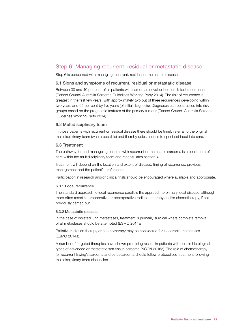# Step 6: Managing recurrent, residual or metastatic disease

Step 6 is concerned with managing recurrent, residual or metastatic disease.

# 6.1 Signs and symptoms of recurrent, residual or metastatic disease

Between 30 and 40 per cent of all patients with sarcomas develop local or distant recurrence (Cancer Council Australia Sarcoma Guidelines Working Party 2014). The risk of recurrence is greatest in the first few years, with approximately two out of three recurrences developing within two years and 95 per cent by five years (of initial diagnosis). Diagnoses can be stratified into risk groups based on the prognostic features of the primary tumour (Cancer Council Australia Sarcoma Guidelines Working Party 2014).

# 6.2 Multidisciplinary team

In those patients with recurrent or residual disease there should be timely referral to the original multidisciplinary team (where possible) and thereby quick access to specialist input into care.

# 6.3 Treatment

The pathway for and manageing patients with recurrent or metastatic sarcoma is a continuum of care within the multidisciplinary team and recapitulates section 4.

Treatment will depend on the location and extent of disease, timing of recurrence, previous management and the patient's preferences.

Participation in research and/or clinical trials should be encouraged where available and appropriate.

#### 6.3.1 Local recurrence

The standard approach to local recurrence parallels the approach to primary local disease, although more often resort to preoperative or postoperative radiation therapy and/or chemotherapy, if not previously carried out.

#### 6.3.2 Metastatic disease

In the case of isolated lung metastases, treatment is primarily surgical where complete removal of all metastases should be attempted (ESMO 2014a).

Palliative radiation therapy or chemotherapy may be considered for inoperable metastases (ESMO 2014a).

A number of targeted therapies have shown promising results in patients with certain histological types of advanced or metastatic soft tissue sarcoma (NCCN 2016a). The role of chemotherapy for recurrent Ewing's sarcoma and osteosarcoma should follow protocolised treatment following multidisciplinary team discussion.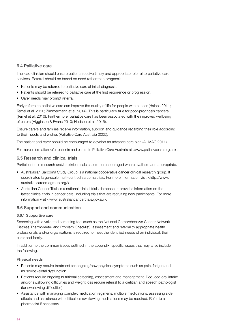# 6.4 Palliative care

The lead clinician should ensure patients receive timely and appropriate referral to palliative care services. Referral should be based on need rather than prognosis.

- Patients may be referred to palliative care at initial diagnosis.
- Patients should be referred to palliative care at the first recurrence or progression.
- Carer needs may prompt referral.

Early referral to palliative care can improve the quality of life for people with cancer (Haines 2011; Temel et al. 2010; Zimmermann et al. 2014). This is particularly true for poor-prognosis cancers (Temel et al. 2010). Furthermore, palliative care has been associated with the improved wellbeing of carers (Higginson & Evans 2010; Hudson et al. 2015).

Ensure carers and families receive information, support and guidance regarding their role according to their needs and wishes (Palliative Care Australia 2005).

The patient and carer should be encouraged to develop an advance care plan (AHMAC 2011).

For more information refer patients and carers to Palliative Care Australia at <[www.palliativecare.org.au](http://www.palliativecare.org.au/)>.

# 6.5 Research and clinical trials

Participation in research and/or clinical trials should be encouraged where available and appropriate.

- Australasian Sarcoma Study Group is a national cooperative cancer clinical research group. It coordinates large-scale multi-centred sarcoma trials. For more information visit [<http://www.](http://www.australiansarcomagroup.org/) [australiansarcomagroup.org/](http://www.australiansarcomagroup.org/)>.
- Australian Cancer Trials is a national clinical trials database. It provides information on the latest clinical trials in cancer care, including trials that are recruiting new participants. For more information visit <[www.australiancancertrials.gov.au>](http://www.australiancancertrials.gov.au/).

# 6.6 Support and communication

# 6.6.1 Supportive care

Screening with a validated screening tool (such as the National Comprehensive Cancer Network Distress Thermometer and Problem Checklist), assessment and referral to appropriate health professionals and/or organisations is required to meet the identified needs of an individual, their carer and family.

In addition to the common issues outlined in the appendix, specific issues that may arise include the following.

# Physical needs

- Patients may require treatment for ongoing/new physical symptoms such as pain, fatigue and musculoskeletal dysfunction.
- Patients require ongoing nutritional screening, assessment and management. Reduced oral intake and/or swallowing difficulties and weight loss require referral to a dietitian and speech pathologist (for swallowing difficulties).
- Assistance with managing complex medication regimens, multiple medications, assessing side effects and assistance with difficulties swallowing medications may be required. Refer to a pharmacist if necessary.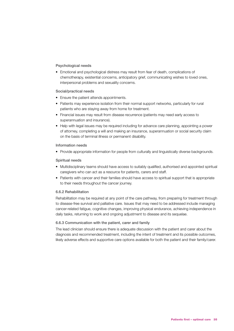# Psychological needs

• Emotional and psychological distress may result from fear of death, complications of chemotherapy, existential concerns, anticipatory grief, communicating wishes to loved ones, interpersonal problems and sexuality concerns.

#### Social/practical needs

- Ensure the patient attends appointments.
- Patients may experience isolation from their normal support networks, particularly for rural patients who are staying away from home for treatment.
- Financial issues may result from disease recurrence (patients may need early access to superannuation and insurance).
- Help with legal issues may be required including for advance care planning, appointing a power of attorney, completing a will and making an insurance, superannuation or social security claim on the basis of terminal illness or permanent disability.

#### Information needs

• Provide appropriate information for people from culturally and linguistically diverse backgrounds.

# Spiritual needs

- Multidisciplinary teams should have access to suitably qualified, authorised and appointed spiritual caregivers who can act as a resource for patients, carers and staff.
- Patients with cancer and their families should have access to spiritual support that is appropriate to their needs throughout the cancer journey.

# 6.6.2 Rehabilitation

Rehabilitation may be required at any point of the care pathway, from preparing for treatment through to disease-free survival and palliative care. Issues that may need to be addressed include managing cancer-related fatigue, cognitive changes, improving physical endurance, achieving independence in daily tasks, returning to work and ongoing adjustment to disease and its sequelae.

# 6.6.3 Communication with the patient, carer and family

The lead clinician should ensure there is adequate discussion with the patient and carer about the diagnosis and recommended treatment, including the intent of treatment and its possible outcomes, likely adverse effects and supportive care options available for both the patient and their family/carer.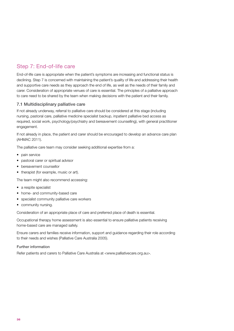# <span id="page-41-0"></span>Step 7: End-of-life care

End-of-life care is appropriate when the patient's symptoms are increasing and functional status is declining. Step 7 is concerned with maintaining the patient's quality of life and addressing their health and supportive care needs as they approach the end of life, as well as the needs of their family and carer. Consideration of appropriate venues of care is essential. The principles of a palliative approach to care need to be shared by the team when making decisions with the patient and their family.

# 7.1 Multidisciplinary palliative care

If not already underway, referral to palliative care should be considered at this stage (including nursing, pastoral care, palliative medicine specialist backup, inpatient palliative bed access as required, social work, psychology/psychiatry and bereavement counselling), with general practitioner engagement.

If not already in place, the patient and carer should be encouraged to develop an advance care plan (AHMAC 2011).

The palliative care team may consider seeking additional expertise from a:

- pain service
- pastoral carer or spiritual advisor
- bereavement counsellor
- therapist (for example, music or art).

The team might also recommend accessing:

- a respite specialist
- home- and community-based care
- specialist community palliative care workers
- community nursing.

Consideration of an appropriate place of care and preferred place of death is essential.

Occupational therapy home assessment is also essential to ensure palliative patients receiving home-based care are managed safely.

Ensure carers and families receive information, support and guidance regarding their role according to their needs and wishes (Palliative Care Australia 2005).

Further information

Refer patients and carers to Palliative Care Australia at <[www.palliativecare.org.au>](http://www.palliativecare.org.au/).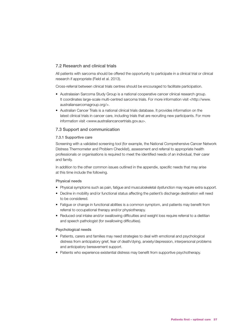# 7.2 Research and clinical trials

All patients with sarcoma should be offered the opportunity to participate in a clinical trial or clinical research if appropriate (Field et al. 2013).

Cross-referral between clinical trials centres should be encouraged to facilitate participation.

- Australasian Sarcoma Study Group is a national cooperative cancer clinical research group. It coordinates large-scale multi-centred sarcoma trials. For more information visit [<http://www.](http://www.australiansarcomagroup.org/) [australiansarcomagroup.org/>](http://www.australiansarcomagroup.org/).
- Australian Cancer Trials is a national clinical trials database. It provides information on the latest clinical trials in cancer care, including trials that are recruiting new participants. For more information visit <[www.australiancancertrials.gov.au](http://www.australiancancertrials.gov.au/)>.

# 7.3 Support and communication

#### 7.3.1 Supportive care

Screening with a validated screening tool (for example, the National Comprehensive Cancer Network Distress Thermometer and Problem Checklist), assessment and referral to appropriate health professionals or organisations is required to meet the identified needs of an individual, their carer and family.

In addition to the other common issues outlined in the appendix, specific needs that may arise at this time include the following.

#### Physical needs

- Physical symptoms such as pain, fatigue and musculoskeletal dysfunction may require extra support.
- Decline in mobility and/or functional status affecting the patient's discharge destination will need to be considered.
- Fatigue or change in functional abilities is a common symptom, and patients may benefit from referral to occupational therapy and/or physiotherapy.
- Reduced oral intake and/or swallowing difficulties and weight loss require referral to a dietitian and speech pathologist (for swallowing difficulties).

#### Psychological needs

- Patients, carers and families may need strategies to deal with emotional and psychological distress from anticipatory grief, fear of death/dying, anxiety/depression, interpersonal problems and anticipatory bereavement support.
- Patients who experience existential distress may benefit from supportive psychotherapy.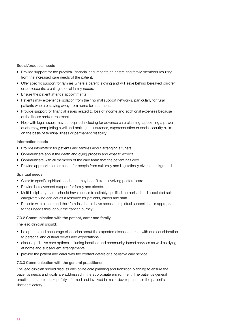# Social/practical needs

- Provide support for the practical, financial and impacts on carers and family members resulting from the increased care needs of the patient.
- Offer specific support for families where a parent is dying and will leave behind bereaved children or adolescents, creating special family needs.
- Ensure the patient attends appointments.
- Patients may experience isolation from their normal support networks, particularly for rural patients who are staying away from home for treatment.
- Provide support for financial issues related to loss of income and additional expenses because of the illness and/or treatment.
- Help with legal issues may be required including for advance care planning, appointing a power of attorney, completing a will and making an insurance, superannuation or social security claim on the basis of terminal illness or permanent disability.

# Information needs

- Provide information for patients and families about arranging a funeral.
- Communicate about the death and dying process and what to expect.
- Communicate with all members of the care team that the patient has died.
- Provide appropriate information for people from culturally and linguistically diverse backgrounds.

# Spiritual needs

- Cater to specific spiritual needs that may benefit from involving pastoral care.
- Provide bereavement support for family and friends.
- Multidisciplinary teams should have access to suitably qualified, authorised and appointed spiritual caregivers who can act as a resource for patients, carers and staff.
- Patients with cancer and their families should have access to spiritual support that is appropriate to their needs throughout the cancer journey.

# 7.3.2 Communication with the patient, carer and family

The lead clinician should:

- be open to and encourage discussion about the expected disease course, with due consideration to personal and cultural beliefs and expectations
- discuss palliative care options including inpatient and community-based services as well as dying at home and subsequent arrangements
- provide the patient and carer with the contact details of a palliative care service.

# 7.3.3 Communication with the general practitioner

The lead clinician should discuss end-of-life care planning and transition planning to ensure the patient's needs and goals are addressed in the appropriate environment. The patient's general practitioner should be kept fully informed and involved in major developments in the patient's illness trajectory.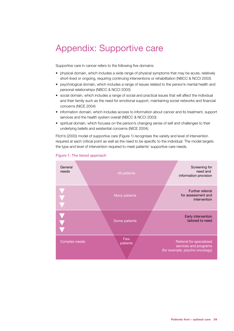# <span id="page-44-0"></span>Appendix: Supportive care

Supportive care in cancer refers to the following five domains:

- physical domain, which includes a wide range of physical symptoms that may be acute, relatively short-lived or ongoing, requiring continuing interventions or rehabilitation (NBCC & NCCI 2003)
- psychological domain, which includes a range of issues related to the person's mental health and personal relationships (NBCC & NCCI 2003)
- social domain, which includes a range of social and practical issues that will affect the individual and their family such as the need for emotional support, maintaining social networks and financial concerns (NICE 2004)
- information domain, which includes access to information about cancer and its treatment, support services and the health system overall (NBCC & NCCI 2003)
- spiritual domain, which focuses on the person's changing sense of self and challenges to their underlying beliefs and existential concerns (NICE 2004).

Fitch's (2000) model of supportive care (Figure 1) recognises the variety and level of intervention required at each critical point as well as the need to be specific to the individual. The model targets the type and level of intervention required to meet patients' supportive care needs.



#### Figure 1: The tiered approach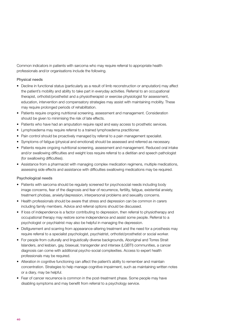Common indicators in patients with sarcoma who may require referral to appropriate health professionals and/or organisations include the following.

# Physical needs

- Decline in functional status (particularly as a result of limb reconstruction or amputation) may affect the patient's mobility and ability to take part in everyday activities. Referral to an occupational therapist, orthotist/prosthetist and a physiotherapist or exercise physiologist for assessment, education, intervention and compensatory strategies may assist with maintaining mobility. These may require prolonged periods of rehabilitation.
- Patients require ongoing nutritional screening, assessment and management. Consideration should be given to minimising the risk of late effects.
- Patients who have had an amputation require rapid and easy access to prosthetic services.
- Lymphoedema may require referral to a trained lymphoedema practitioner.
- Pain control should be proactively managed by referral to a pain management specialist.
- Symptoms of fatigue (physical and emotional) should be assessed and referred as necessary.
- Patients require ongoing nutritional screening, assessment and management. Reduced oral intake and/or swallowing difficulties and weight loss require referral to a dietitian and speech pathologist (for swallowing difficulties).
- Assistance from a pharmacist with managing complex medication regimens, multiple medications, assessing side effects and assistance with difficulties swallowing medications may be required.

# Psychological needs

- Patients with sarcoma should be regularly screened for psychosocial needs including body image concerns, fear of the diagnosis and fear of recurrence, fertility, fatigue, existential anxiety, treatment phobias, anxiety/depression, interpersonal problems and sexuality concerns.
- Health professionals should be aware that stress and depression can be common in carers including family members. Advice and referral options should be discussed.
- If loss of independence is a factor contributing to depression, then referral to physiotherapy and occupational therapy may restore some independence and assist some people. Referral to a psychologist or psychiatrist may also be helpful in managing the depression.
- Disfigurement and scarring from appearance-altering treatment and the need for a prosthesis may require referral to a specialist psychologist, psychiatrist, orthotist/prosthetist or social worker.
- For people from culturally and linguistically diverse backgrounds, Aboriginal and Torres Strait Islanders, and lesbian, gay, bisexual, transgender and intersex (LGBTI) communities, a cancer diagnosis can come with additional psycho-social complexities. Access to expert health professionals may be required.
- Alteration in cognitive functioning can affect the patient's ability to remember and maintain concentration. Strategies to help manage cognitive impairment, such as maintaining written notes or a diary, may be helpful.
- Fear of cancer recurrence is common in the post-treatment phase. Some people may have disabling symptoms and may benefit from referral to a psychology service.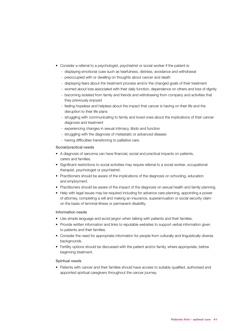- Consider a referral to a psychologist, psychiatrist or social worker if the patient is:
	- displaying emotional cues such as tearfulness, distress, avoidance and withdrawal
	- preoccupied with or dwelling on thoughts about cancer and death
	- displaying fears about the treatment process and/or the changed goals of their treatment
	- worried about loss associated with their daily function, dependence on others and loss of dignity
	- becoming isolated from family and friends and withdrawing from company and activities that they previously enjoyed
	- feeling hopeless and helpless about the impact that cancer is having on their life and the disruption to their life plans
	- struggling with communicating to family and loved ones about the implications of their cancer diagnosis and treatment
	- experiencing changes in sexual intimacy, libido and function
	- struggling with the diagnosis of metastatic or advanced disease
	- having difficulties transitioning to palliative care.

# Social/practical needs

- A diagnosis of sarcoma can have financial, social and practical impacts on patients, carers and families.
- Significant restrictions to social activities may require referral to a social worker, occupational therapist, psychologist or psychiatrist.
- Practitioners should be aware of the implications of the diagnosis on schooling, education and employment.
- Practitioners should be aware of the impact of the diagnosis on sexual health and family planning.
- Help with legal issues may be required including for advance care planning, appointing a power of attorney, completing a will and making an insurance, superannuation or social security claim on the basis of terminal illness or permanent disability.

# Information needs

- Use simple language and avoid jargon when talking with patients and their families.
- Provide written information and links to reputable websites to support verbal information given to patients and their families.
- Consider the need for appropriate information for people from culturally and linguistically diverse backgrounds.
- Fertility options should be discussed with the patient and/or family, where appropriate, before beginning treatment.

# Spiritual needs

• Patients with cancer and their families should have access to suitably qualified, authorised and appointed spiritual caregivers throughout the cancer journey.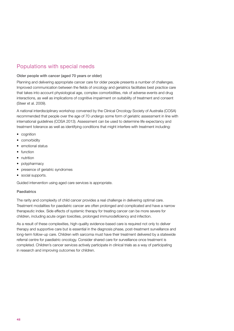# Populations with special needs

# Older people with cancer (aged 70 years or older)

Planning and delivering appropriate cancer care for older people presents a number of challenges. Improved communication between the fields of oncology and geriatrics facilitates best practice care that takes into account physiological age, complex comorbidities, risk of adverse events and drug interactions, as well as implications of cognitive impairment on suitability of treatment and consent (Steer et al. 2009).

A national interdisciplinary workshop convened by the Clinical Oncology Society of Australia (COSA) recommended that people over the age of 70 undergo some form of geriatric assessment in line with international guidelines (COSA 2013). Assessment can be used to determine life expectancy and treatment tolerance as well as identifying conditions that might interfere with treatment including:

- cognition
- comorbidity
- emotional status
- function
- nutrition
- polypharmacy
- presence of geriatric syndromes
- social supports.

Guided intervention using aged care services is appropriate.

# Paediatrics

The rarity and complexity of child cancer provides a real challenge in delivering optimal care. Treatment modalities for paediatric cancer are often prolonged and complicated and have a narrow therapeutic index. Side effects of systemic therapy for treating cancer can be more severe for children, including acute organ toxicities, prolonged immunodeficiency and infection.

As a result of these complexities, high-quality evidence-based care is required not only to deliver therapy and supportive care but is essential in the diagnosis phase, post-treatment surveillance and long-term follow-up care. Children with sarcoma must have their treatment delivered by a statewide referral centre for paediatric oncology. Consider shared care for surveillance once treatment is completed. Children's cancer services actively participate in clinical trials as a way of participating in research and improving outcomes for children.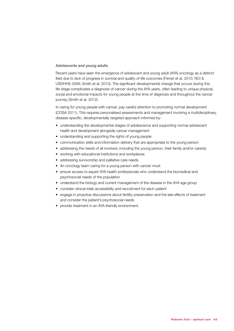#### Adolescents and young adults

Recent years have seen the emergence of adolescent and young adult (AYA) oncology as a distinct field due to lack of progress in survival and quality-of-life outcomes (Ferrari et al. 2010; NCI & USDHHS 2006; Smith et al. 2013). The significant developmental change that occurs during this life stage complicates a diagnosis of cancer during the AYA years, often leading to unique physical, social and emotional impacts for young people at the time of diagnosis and throughout the cancer journey (Smith et al. 2012).

In caring for young people with cancer, pay careful attention to promoting normal development (COSA 2011). This requires personalised assessments and management involving a multidisciplinary, disease-specific, developmentally targeted approach informed by:

- understanding the developmental stages of adolescence and supporting normal adolescent health and development alongside cancer management
- understanding and supporting the rights of young people
- communication skills and information delivery that are appropriate to the young person
- addressing the needs of all involved, including the young person, their family and/or carer(s)
- working with educational institutions and workplaces
- addressing survivorship and palliative care needs.
- An oncology team caring for a young person with cancer must:
- ensure access to expert AYA health professionals who understand the biomedical and psychosocial needs of the population
- understand the biology and current management of the disease in the AYA age group
- consider clinical trials accessibility and recruitment for each patient
- engage in proactive discussions about fertility preservation and the late effects of treatment and consider the patient's psychosocial needs
- provide treatment in an AYA-friendly environment.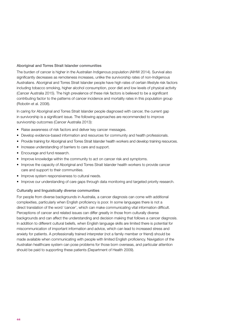# Aboriginal and Torres Strait Islander communities

The burden of cancer is higher in the Australian Indigenous population (AIHW 2014). Survival also significantly decreases as remoteness increases, unlike the survivorship rates of non-Indigenous Australians. Aboriginal and Torres Strait Islander people have high rates of certain lifestyle risk factors including tobacco smoking, higher alcohol consumption, poor diet and low levels of physical activity (Cancer Australia 2015). The high prevalence of these risk factors is believed to be a significant contributing factor to the patterns of cancer incidence and mortality rates in this population group (Robotin et al. 2008).

In caring for Aboriginal and Torres Strait Islander people diagnosed with cancer, the current gap in survivorship is a significant issue. The following approaches are recommended to improve survivorship outcomes (Cancer Australia 2013):

- Raise awareness of risk factors and deliver key cancer messages.
- Develop evidence-based information and resources for community and health professionals.
- Provide training for Aboriginal and Torres Strait Islander health workers and develop training resources.
- Increase understanding of barriers to care and support.
- Encourage and fund research.
- Improve knowledge within the community to act on cancer risk and symptoms.
- Improve the capacity of Aboriginal and Torres Strait Islander health workers to provide cancer care and support to their communities.
- Improve system responsiveness to cultural needs.
- Improve our understanding of care gaps through data monitoring and targeted priority research.

#### Culturally and linguistically diverse communities

For people from diverse backgrounds in Australia, a cancer diagnosis can come with additional complexities, particularly when English proficiency is poor. In some languages there is not a direct translation of the word 'cancer', which can make communicating vital information difficult. Perceptions of cancer and related issues can differ greatly in those from culturally diverse backgrounds and can affect the understanding and decision making that follows a cancer diagnosis. In addition to different cultural beliefs, when English language skills are limited there is potential for miscommunication of important information and advice, which can lead to increased stress and anxiety for patients. A professionally trained interpreter (not a family member or friend) should be made available when communicating with people with limited English proficiency. Navigation of the Australian healthcare system can pose problems for those born overseas, and particular attention should be paid to supporting these patients (Department of Health 2009).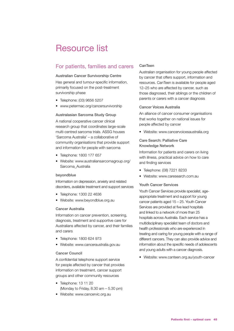# <span id="page-50-0"></span>Resource list

# For patients, families and carers

#### Australian Cancer Survivorship Centre

Has general and tumour-specific information, primarily focused on the post-treatment survivorship phase

- Telephone: (03) 9656 5207
- [www.petermac.org/cancersurvivorship](http://www.petermac.org/cancersurvivorship)

#### Australasian Sarcoma Study Group

A national cooperative cancer clinical research group that coordinates large-scale multi-centred sarcoma trials. ASSG houses 'Sarcoma Australia' – a collaborative of community organisations that provide support and information for people with sarcoma

- Telephone: 1800 177 657
- Website: [www.australiansarcomagroup.org/](http://www.australiansarcomagroup.org/Sarcoma_Australia.html) [Sarcoma\\_Australia](http://www.australiansarcomagroup.org/Sarcoma_Australia.html)

#### beyondblue

Information on depression, anxiety and related disorders, available treatment and support services

- Telephone: 1300 22 4636
- Website: [www.beyondblue.org.au](http://www.beyondblue.org.au)

#### Cancer Australia

Information on cancer prevention, screening, diagnosis, treatment and supportive care for Australians affected by cancer, and their families and carers

- Telephone: 1800 624 973
- Website: www.canceraustralia.gov.au

#### Cancer Council

A confidential telephone support service for people affected by cancer that provides information on treatment, cancer support groups and other community resources

- Telephone: 13 11 20 (Monday to Friday, 8.30 am – 5.30 pm)
- Website: [www.cancervic.org.au](http://www.cancervic.org.au)

# CanTeen

Australian organisation for young people affected by cancer that offers support, information and resources. CanTeen is available for people aged 12–25 who are affected by cancer, such as those diagnosed, their siblings or the children of parents or carers with a cancer diagnosis

# Cancer Voices Australia

An alliance of cancer consumer organisations that works together on national issues for people affected by cancer

• Website: [www.cancervoicesaustralia.org](http://www.cancervoicesaustralia.org/)

# Care Search: Palliative Care Knowledge Network

Information for patients and carers on living with illness, practical advice on how to care and finding services

- Telephone: (08) 7221 8233
- Website: [www.caresearch.com.au](http://www.caresearch.com.au)

# Youth Cancer Services

Youth Cancer Services provide specialist, ageappropriate treatment and support for young cancer patients aged 15 – 25. Youth Cancer Services are provided at five lead hospitals and linked to a network of more than 25 hospitals across Australia. Each service has a multidisciplinary specialist team of doctors and health professionals who are experienced in treating and caring for young people with a range of different cancers. They can also provide advice and information about the specific needs of adolescents and young adults with a cancer diagnosis.

• Website: [www.canteen.org.au/youth-cancer](http://www.canteen.org.au/youth-cancer)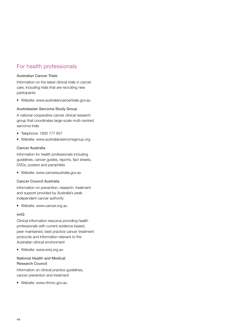# For health professionals

# Australian Cancer Trials

Information on the latest clinical trials in cancer care, including trials that are recruiting new participants

• Website: [www.australiancancertrials.gov.au](http://www.australiancancertrials.gov.au/)

# Australasian Sarcoma Study Group

A national cooperative cancer clinical research group that coordinates large-scale multi-centred sarcoma trials

- Telephone: 1800 177 657
- Website: [www.australiansarcomagroup.org](http://www.australiansarcomagroup.org/)

# Cancer Australia

Information for health professionals including guidelines, cancer guides, reports, fact sheets, DVDs, posters and pamphlets

• Website: [www.canceraustralia.gov.au](http://www.canceraustralia.gov.au)

# Cancer Council Australia

Information on prevention, research, treatment and support provided by Australia's peak independent cancer authority

• Website: [www.cancer.org.au](http://www.cancer.org.au)

# eviQ

Clinical information resource providing health professionals with current evidence-based, peer maintained, best practice cancer treatment protocols and information relevant to the Australian clinical environment

• Website: [www.eviq.org.au](http://www.eviq.org.au)

# National Health and Medical Research Council

Information on clinical practice guidelines, cancer prevention and treatment

• Website: [www.nhmrc.gov.au](http://www.nhmrc.gov.au)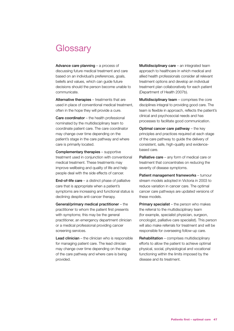# <span id="page-52-0"></span>**Glossary**

Advance care planning – a process of discussing future medical treatment and care based on an individual's preferences, goals, beliefs and values, which can guide future decisions should the person become unable to communicate.

Alternative therapies – treatments that are used in place of conventional medical treatment, often in the hope they will provide a cure.

Care coordinator – the health professional nominated by the multidisciplinary team to coordinate patient care. The care coordinator may change over time depending on the patient's stage in the care pathway and where care is primarily located.

Complementary therapies – supportive treatment used in conjunction with conventional medical treatment. These treatments may improve wellbeing and quality of life and help people deal with the side effects of cancer.

**End-of-life care**  $-$  a distinct phase of palliative care that is appropriate when a patient's symptoms are increasing and functional status is declining despite anti-cancer therapy.

General/primary medical practitioner – the practitioner to whom the patient first presents with symptoms; this may be the general practitioner, an emergency department clinician or a medical professional providing cancer screening services.

Lead clinician – the clinician who is responsible for managing patient care. The lead clinician may change over time depending on the stage of the care pathway and where care is being provided.

Multidisciplinary care – an integrated team approach to healthcare in which medical and allied health professionals consider all relevant treatment options and develop an individual treatment plan collaboratively for each patient (Department of Health 2007b).

Multidisciplinary team – comprises the core disciplines integral to providing good care. The team is flexible in approach, reflects the patient's clinical and psychosocial needs and has processes to facilitate good communication.

Optimal cancer care pathway – the key principles and practices required at each stage of the care pathway to guide the delivery of consistent, safe, high-quality and evidencebased care.

Palliative care – any form of medical care or treatment that concentrates on reducing the severity of disease symptoms.

Patient management frameworks – tumour stream models adopted in Victoria in 2003 to reduce variation in cancer care. The optimal cancer care pathways are updated versions of these models.

**Primary specialist** – the person who makes the referral to the multidisciplinary team (for example, specialist physician, surgeon, oncologist, palliative care specialist). This person will also make referrals for treatment and will be responsible for overseeing follow-up care.

Rehabilitation – comprises multidisciplinary efforts to allow the patient to achieve optimal physical, social, physiological and vocational functioning within the limits imposed by the disease and its treatment.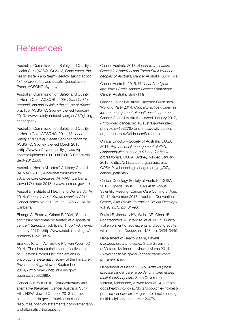# <span id="page-53-0"></span>**References**

Australian Commission on Safety and Quality in Health Care (ACSQHC) 2013, *Consumers, the health system and health literacy: taking action to improve safety and quality,* Consultation Paper, ACSQHC, Sydney.

Australian Commission on Safety and Quality in Health Care (ACSQHC) 2004, *Standard for credentialing and defining the scope of clinical practice,* ACSQHC, Sydney, viewed February 2013, <www.safetyandquality.org.au/dl/fighting[\\_](http://www.safetyandquality.org.au/dl/fighting_)  cancer.pdf>.

Australian Commission on Safety and Quality in Health Care (ACSQHC) 2011, *National Safety and Quality Health Service Standards,*  ACSQHC, Sydney, viewed March 2015, [<http://www.safetyandquality.gov.au/wp](http://www.safetyandquality.gov.au/wp-content/uploads/2011/09/NSQHS-Standards-Sept-2012.pdf)[content/uploads/2011/09/NSQHS-Standards-](http://www.safetyandquality.gov.au/wp-content/uploads/2011/09/NSQHS-Standards-Sept-2012.pdf)[Sept-2012.pdf](http://www.safetyandquality.gov.au/wp-content/uploads/2011/09/NSQHS-Standards-Sept-2012.pdf)>.

Australian Health Ministers' Advisory Council (AHMAC) 2011, *A national framework for advance care directives,* AHMAC, Canberra, viewed October 2013, <www.ahmac. gov.au>.

Australian Institute of Health and Welfare (AIHW) 2014, *Cancer in Australia: an overview 2014.*  Cancer series No. 90. Cat. no. CAN 88, AIHW, Canberra.

Bhangu A, Beard J, Grimer R 2004, '[Should](http://wiki.cancer.org.au/australia/Citation:Bhangu_AA,_Beard_JA,_Grimer_RJ_2004)  [soft tissue sarcomas be treated at a specialist](http://wiki.cancer.org.au/australia/Citation:Bhangu_AA,_Beard_JA,_Grimer_RJ_2004)  [centre?](http://wiki.cancer.org.au/australia/Citation:Bhangu_AA,_Beard_JA,_Grimer_RJ_2004)' *Sarcoma*, vol. 8, no. 1, pp 1–6, viewed January 2017, [<http://www.ncbi.nlm.nih.gov/](http://www.ncbi.nlm.nih.gov/pubmed/18521386) [pubmed/18521386](http://www.ncbi.nlm.nih.gov/pubmed/18521386)>.

Brandes K, Linn AJ, Butow PN, van Weert JC 2014, 'The characteristics and effectiveness of Question Prompt List interventions in oncology: a systematic review of the literature', *Psychooncology*, viewed September 2014, <[http://www.ncbi.nlm.nih.gov/](http://www.ncbi.nlm.nih.gov/pubmed/25082386) [pubmed/25082386](http://www.ncbi.nlm.nih.gov/pubmed/25082386)>.

Cancer Australia 2010, *Complementary and alternative therapies*, Cancer Australia, Surry Hills, NSW, viewed October 2013 < [http://](http://canceraustralia.gov.au/publications-and-resources/position-statements/complementary-and-alternative-therapies) [canceraustralia.gov.au/publications-and](http://canceraustralia.gov.au/publications-and-resources/position-statements/complementary-and-alternative-therapies)[resources/position-statements/complementary](http://canceraustralia.gov.au/publications-and-resources/position-statements/complementary-and-alternative-therapies)[and-alternative-therapies](http://canceraustralia.gov.au/publications-and-resources/position-statements/complementary-and-alternative-therapies)>.

Cancer Australia 2013, *Report to the nation: Cancer in Aboriginal and Torres Strait Islander peoples of Australia,* Cancer Australia, Surry Hills.

Cancer Australia 2015, *National Aboriginal and Torres Strait Islander Cancer Framework,*  Cancer Australia, Surry Hills.

Cancer Council Australia Sarcoma Guidelines Working Party 2014, *Clinical practice guidelines for the management of adult onset sarcoma,*  Cancer Council Australia, viewed January 2017, <[http://wiki.cancer.org.au/australiawiki/index.](http://wiki.cancer.org.au/australiawiki/index.php?oldid=138276) [php?oldid=138276](http://wiki.cancer.org.au/australiawiki/index.php?oldid=138276)> and <[http://wiki.cancer.](http://wiki.cancer.org.au/australia/Guidelines:Sarcoma) [org.au/australia/Guidelines:Sarcoma](http://wiki.cancer.org.au/australia/Guidelines:Sarcoma)>.

Clinical Oncology Society of Australia (COSA) 2011, *Psychosocial management of AYAs diagnosed with cancer: guidance for health professionals,* COSA, Sydney, viewed January 2012, [<http://wiki.cancer.org.au/australia/](http://wiki.cancer.org.au/australia/COSA:Psychosocial_management_of_AYA_cancer_patients) COSA:Psychosocial\_management\_of\_AYA [cancer\\_patients](http://wiki.cancer.org.au/australia/COSA:Psychosocial_management_of_AYA_cancer_patients)>.

Clinical Oncology Society of Australia (COSA) 2013, 'Special Issue: COSA's 40th Annual Scientific Meeting, Cancer Care Coming of Age, 12–14 November 2013', Adelaide Convention Centre, *Asia-Pacific Journal of Clinical Oncology,*  vol. 9, no. 3, pp. 61–98.

Davis LE, Janeway KA, Weiss AR, Chen YE, Scharschmidt TJ, Krailo M, et al. 2017, 'Clinical trial enrollment of adolescents and young adults with sarcoma', *Cancer*, no. 123, pp. 3434–3440.

Department of Health 2007a, *Patient management frameworks,* State Government of Victoria, Melbourne, viewed March 2014, <[www.health.vic.gov.au/cancer/framework/](http://www.health.vic.gov.au/cancer/framework/pmfsnew.htm) [pmfsnew.htm>](http://www.health.vic.gov.au/cancer/framework/pmfsnew.htm).

Department of Health 2007b, *Achieving best practice cancer care: a guide for implementing multidisciplinary care,* State Government of Victoria, Melbourne, viewed May 2014, [<http://](http://docs.health.vic.gov.au/docs/doc/Achieving-best-practice-cancer-care--A-guide-for-implementing-multidisciplinary-care---Mar-2007) [docs.health.vic.gov.au/docs/doc/Achieving-best](http://docs.health.vic.gov.au/docs/doc/Achieving-best-practice-cancer-care--A-guide-for-implementing-multidisciplinary-care---Mar-2007)[practice-cancer-care--A-guide-for-implementing](http://docs.health.vic.gov.au/docs/doc/Achieving-best-practice-cancer-care--A-guide-for-implementing-multidisciplinary-care---Mar-2007)[multidisciplinary-care---Mar-2007>](http://docs.health.vic.gov.au/docs/doc/Achieving-best-practice-cancer-care--A-guide-for-implementing-multidisciplinary-care---Mar-2007).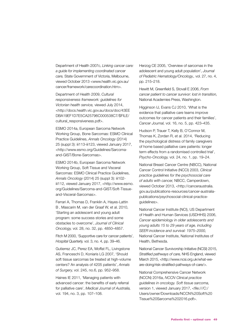Department of Health 2007c, *Linking cancer care: a guide for implementing coordinated cancer care,* State Government of Victoria, Melbourne, viewed October 2013 [<www.health.vic.gov.au/](http://www.health.vic.gov.au/cancer/framework/carecoordination.htm) [cancer/framework/carecoordination.htm>](http://www.health.vic.gov.au/cancer/framework/carecoordination.htm).

Department of Health 2009, *Cultural responsiveness framework: guidelines for Victorian health service,* viewed July 2014, [<http://docs.health.vic.gov.au/docs/doc/43EE](http://docs.health.vic.gov.au/docs/doc/43EEDBA19EF1D7E5CA25796C000538C7/$FILE/cultural_responsiveness.pdf) [DBA19EF1D7E5CA25796C000538C7/\\$FILE/](http://docs.health.vic.gov.au/docs/doc/43EEDBA19EF1D7E5CA25796C000538C7/$FILE/cultural_responsiveness.pdf) [cultural\\_responsiveness.pdf>](http://docs.health.vic.gov.au/docs/doc/43EEDBA19EF1D7E5CA25796C000538C7/$FILE/cultural_responsiveness.pdf).

ESMO 2014a, European Sarcoma Network Working Group, Bone Sarcomas: ESMO Clinical Practice Guidelines, *Annals Oncology* (2014) 25 (suppl 3): iii113-iii123, viewed January 2017, [<http://www.esmo.org/Guidelines/Sarcoma](http://www.esmo.org/Guidelines/Sarcoma-and-GIST/Bone-Sarcomas)[and-GIST/Bone-Sarcomas>](http://www.esmo.org/Guidelines/Sarcoma-and-GIST/Bone-Sarcomas).

ESMO 2014b, European Sarcoma Network Working Group, Soft Tissue and Visceral Sarcomas: ESMO Clinical Practice Guidelines, *Annals Oncology* (2014) 25 (suppl 3): iii102 iii112, viewed January 2017, [<http://www.esmo.](http://www.esmo.org/Guidelines/Sarcoma-and-GIST/Soft-Tissue-and-Visceral-Sarcomas) [org/Guidelines/Sarcoma-and-GIST/Soft-Tissue](http://www.esmo.org/Guidelines/Sarcoma-and-GIST/Soft-Tissue-and-Visceral-Sarcomas)[and-Visceral-Sarcomas](http://www.esmo.org/Guidelines/Sarcoma-and-GIST/Soft-Tissue-and-Visceral-Sarcomas)>.

Ferrari A, Thomas D, Franklin A, Hayes-Lattin B , Mascarin M, van der Graaf W, et al. 2010, 'Starting an adolescent and young adult program: some success stories and some obstacles to overcome', *Journal of Clinical Oncology,* vol. 28, no. 32, pp. 4850–4857.

Fitch M 2000, 'Supportive care for cancer patients', *Hospital Quarterly,* vol. 3, no. 4, pp. 39–46.

Gutierrez JC, Perez EA, Moffat FL, Livingstone AS, Franceschi D, Koniaris LG 2007, 'Should soft tissue sarcomas be treated at high-volume centers? An analysis of 4205 patients', *Annals of Surgery,* vol. 245, no.6, pp. 952–958.

Haines IE 2011, 'Managing patients with advanced cancer: the benefits of early referral for palliative care', *Medical Journal of Australia,*  vol. 194, no. 3, pp. 107–108.

[Herzog CE](https://www.ncbi.nlm.nih.gov/pubmed/?term=Herzog%20CE%5BAuthor%5D&cauthor=true&cauthor_uid=15838394) 2005, 'Overview of sarcomas in the adolescent and young adult population', *[Journal](https://www.ncbi.nlm.nih.gov/pubmed/15838394)  [of Pediatric Hematology/Oncology.](https://www.ncbi.nlm.nih.gov/pubmed/15838394),* vol. 27, no. 4, pp. 215–218.

Hewitt M, Greenfield S, Stovall E 2006, *From cancer patient to cancer survivor: lost in transition,* National Academies Press, Washington.

Higginson IJ, Evans CJ 2010, 'What is the evidence that palliative care teams improve outcomes for cancer patients and their families', *Cancer Journal,* vol. 16, no. 5, pp. 423–435.

Hudson P, Trauer T, Kelly B, O'Connor M, Thomas K, Zordan R, et al. 2014, ['Reducing](http://onlinelibrary.wiley.com/doi/10.1002/pon.3610/pdf)  [the psychological distress of family caregivers](http://onlinelibrary.wiley.com/doi/10.1002/pon.3610/pdf)  [of home based palliative care patients: longer](http://onlinelibrary.wiley.com/doi/10.1002/pon.3610/pdf)  [term effects from a randomised controlled trial'](http://onlinelibrary.wiley.com/doi/10.1002/pon.3610/pdf), *Psycho-Oncology,* vol. 24, no. 1, pp. 19–24.

National Breast Cancer Centre (NBCC), National Cancer Control Initiative (NCCI) 2003, *Clinical practice guidelines for the psychosocial care of adults with cancer,* NBCC, Camperdown, viewed October 2013, <[http://canceraustralia.](http://canceraustralia.gov.au/publications-resources/cancer-australia-publications/psychosocial-clinical-practice-guidelines) [gov.au/publications-resources/cancer-australia](http://canceraustralia.gov.au/publications-resources/cancer-australia-publications/psychosocial-clinical-practice-guidelines)[publications/psychosocial-clinical-practice](http://canceraustralia.gov.au/publications-resources/cancer-australia-publications/psychosocial-clinical-practice-guidelines)[guidelines>](http://canceraustralia.gov.au/publications-resources/cancer-australia-publications/psychosocial-clinical-practice-guidelines).

National Cancer Institute (NCI), US Department of Health and Human Services (USDHHS) 2006, *Cancer epidemiology in older adolescents and young adults 15 to 29 years of age, including SEER incidence and survival: 1975–2000,*  National Cancer Institute, National Institutes of Health, Bethesda.

National Cancer Survivorship Initiative (NCSI) 2015, *Stratified pathways of care,* NHS England, viewed March 2015, [<http://www.ncsi.org.uk/what-we](http://www.ncsi.org.uk/what-we-are-doing/risk-stratified-pathways-of-care/)[are-doing/risk-stratified-pathways-of-care/>](http://www.ncsi.org.uk/what-we-are-doing/risk-stratified-pathways-of-care/).

National Comprehensive Cancer Network (NCCN) 2016a, *NCCN Clinical practice guidelines in oncology. Soft tissue sarcoma,*  version 1, viewed January 2017, <file:///C:/ Users/owner/Downloads/NCCN%20Soft%20 Tissue%20Sarcoma%202016.pdf>.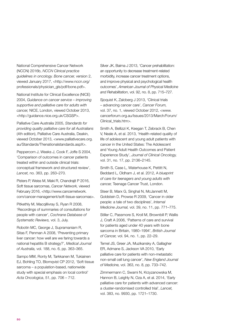National Comprehensive Cancer Network (NCCN) 2016b, *NCCN Clinical practice guidelines in oncology. Bone cancer,* version 2, viewed January 2017, <[http://www.nccn.org/](http://www.nccn.org/professionals/physician_gls/pdf/bone.pdf) [professionals/physician\\_gls/pdf/bone.pdf>](http://www.nccn.org/professionals/physician_gls/pdf/bone.pdf).

National Institute for Clinical Excellence (NICE) 2004, *Guidance on cancer service – improving supportive and palliative care for adults with cancer,* NICE, London, viewed October 2013, [<http://guidance.nice.org.uk/CSGSP>](http://guidance.nice.org.uk/CSGSP).

Palliative Care Australia 2005, *Standards for providing quality palliative care for all Australians*  (4th edition), Palliative Care Australia, Deakin, viewed October 2013, <[www.palliativecare.org.](http://www.palliativecare.org.au/Standards/Thenationalstandards.aspX) [au/Standards/Thenationalstandards.aspX>](http://www.palliativecare.org.au/Standards/Thenationalstandards.aspX).

Peppercorn J, Weeks J, Cook F, Joffe S 2004, 'Comparison of outcomes in cancer patients treated within and outside clinical trials: conceptual framework and structured review', *Lancet,* no. 363, pp. 263–270.

Pisters P, Weiss M, Maki R, Chandrajit P 2016, Soft tissue sarcomas, *Cancer Network,* viewed February 2016, [<http://www.cancernetwork.](http://www.cancernetwork.com/cancer-management/soft-tissue-sarcomas) [com/cancer-management/soft-tissue-sarcomas>](http://www.cancernetwork.com/cancer-management/soft-tissue-sarcomas).

Pitkethly M, Macqillivray S, Ryan R 2008, 'Recordings of summaries of consultations for people with cancer', *Cochrane Database of Systematic Reviews,* vol. 3, July.

Robotin MC, George J, Supramaniam R, Sitas F, Penman A 2008, 'Preventing primary liver cancer: how well are we faring towards a national hepatitis B strategy?', *Medical Journal of Australia,* vol. 188, no. 6, pp. 363–365.

Sampo MM, Ronty M, Tarkkanen M, Tukiainen EJ, Bohling TO, Blomqvist CP 2012, 'Soft tissue sarcoma – a population-based, nationwide study with special emphasis on local control' *Acta Oncologica*, 51, pp. 706 – 712.

Silver JK, Baima J 2013, 'Cancer prehabilitation: an opportunity to decrease treatment-related morbidity, increase cancer treatment options, and improve physical and psychological health outcomes', *American Journal of Physical Medicine and Rehabilitation*, vol. 92, no. 8, pp. 715–727.

Sjoquist K, Zalcberg J 2013, 'Clinical trials – advancing cancer care', *Cancer Forum,* vol. 37, no. 1, viewed October 2012, [<www.](http://www.cancerforum.org.au/Issues/2013/March/Forum/Clinical_trials.htm) [cancerforum.org.au/Issues/2013/March/Forum/](http://www.cancerforum.org.au/Issues/2013/March/Forum/Clinical_trials.htm) [Clinical\\_trials.htm>](http://www.cancerforum.org.au/Issues/2013/March/Forum/Clinical_trials.htm).

Smith A, Bellizzi K, Keegan T, Zebrack B, Chen V, Neale A, et al. 2013, 'Health-related quality of life of adolescent and young adult patients with cancer in the United States: The Adolescent and Young Adult Health Outcomes and Patient Experience Study', *Journal of Clinical Oncology,*  vol. 31, no. 17, pp. 2136–2145.

Smith S, Case L, Waterhouse K, Pettitt N, Beddard L, Oldham J, et al. 2012, A *blueprint of care for teenagers and young adults with cancer,* Teenage Cancer Trust, London.

Steer B, Marx G, Singhal N, McJannett M, Goldstein D, Prowse R 2009, 'Cancer in older people: a tale of two disciplines', *Internal Medicine Journal,* vol. 39, no. 11, pp. 771–775.

Stiller C, Passmore S, Kroll M, Brownbill P, Wallis J, Craft A 2006, ['Patterns of care and survival](http://wiki.cancer.org.au/australia/Citation:Stiller_CA,_Passmore_SJ,_Kroll_ME,_Brownbill_PA,_Wallis_JC,_Craft_AW_2006)  [for patients aged under 40 years with bone](http://wiki.cancer.org.au/australia/Citation:Stiller_CA,_Passmore_SJ,_Kroll_ME,_Brownbill_PA,_Wallis_JC,_Craft_AW_2006)  [sarcoma in Britain, 1980–1994',](http://wiki.cancer.org.au/australia/Citation:Stiller_CA,_Passmore_SJ,_Kroll_ME,_Brownbill_PA,_Wallis_JC,_Craft_AW_2006) *British Journal of Cancer,* vol. 94, no. 1, pp. 22–29.

Temel JS, Greer JA, Muzikansky A, Gallagher ER, Admane S, Jackson VA 2010, 'Early palliative care for patients with non-metastatic non-small cell lung cancer', *New England Journal of Medicine,* vol. 363, no. 8, pp. 733–742.

Zimmermann C, Swami N, Krzyzanowska M, [Hannon](http://www.thelancet.com/search/results?fieldName=Authors&searchTerm=Breffni+Hannon) B, Leighly N, Oza A, et al. 2014, 'Early palliative care for patients with advanced cancer: a cluster-randomised controlled trial', *Lancet,*  vol. 383, no. 9930, pp. 1721–1730.